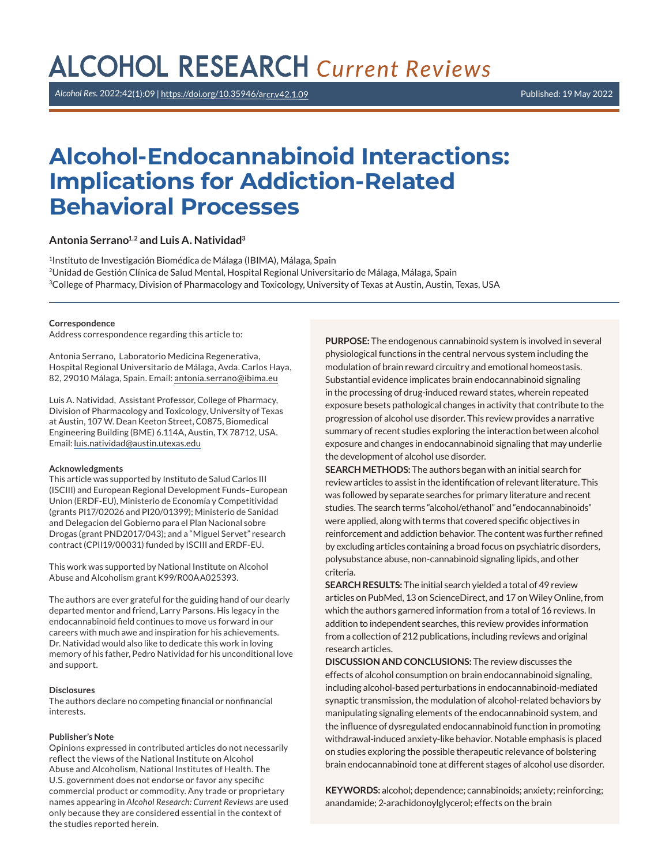# **ALCOHOL RESEARCH Current Reviews**

*Alcohol Res.* 2022;42(1):09 | [https://doi.org/10.35946/arcr.v42.1.](https://doi.org/10.35946/arcr.v42.1.09)09 Published: 19 May 2022

# **Alcohol-Endocannabinoid Interactions: Implications for Addiction-Related Behavioral Processes**

#### **Antonia Serrano1,2 and Luis A. Natividad3**

1Instituto de Investigación Biomédica de Málaga (IBIMA), Málaga, Spain 2Unidad de Gestión Clínica de Salud Mental, Hospital Regional Universitario de Málaga, Málaga, Spain 3College of Pharmacy, Division of Pharmacology and Toxicology, University of Texas at Austin, Austin, Texas, USA

#### **Correspondence**

Address correspondence regarding this article to:

Antonia Serrano, Laboratorio Medicina Regenerativa, Hospital Regional Universitario de Málaga, Avda. Carlos Haya, 82, 29010 Málaga, Spain. Email: [antonia.serrano@ibima.eu](mailto:antonia.serrano@ibima.eu)

Luis A. Natividad, Assistant Professor, College of Pharmacy, Division of Pharmacology and Toxicology, University of Texas at Austin, 107 W. Dean Keeton Street, C0875, Biomedical Engineering Building (BME) 6.114A, Austin, TX 78712, USA. Email: [luis.natividad@austin.utexas.edu](mailto:luis.natividad@austin.utexas.edu)

#### **Acknowledgments**

This article was supported by Instituto de Salud Carlos III (ISCIII) and European Regional Development Funds–European Union (ERDF-EU), Ministerio de Economía y Competitividad (grants PI17/02026 and PI20/01399); Ministerio de Sanidad and Delegacion del Gobierno para el Plan Nacional sobre Drogas (grant PND2017/043); and a "Miguel Servet" research contract (CPII19/00031) funded by ISCIII and ERDF-EU.

This work was supported by National Institute on Alcohol Abuse and Alcoholism grant K99/R00AA025393.

The authors are ever grateful for the guiding hand of our dearly departed mentor and friend, Larry Parsons. His legacy in the endocannabinoid field continues to move us forward in our careers with much awe and inspiration for his achievements. Dr. Natividad would also like to dedicate this work in loving memory of his father, Pedro Natividad for his unconditional love and support.

#### **Disclosures**

The authors declare no competing financial or nonfinancial interests.

#### **Publisher's Note**

Opinions expressed in contributed articles do not necessarily reflect the views of the National Institute on Alcohol Abuse and Alcoholism, National Institutes of Health. The U.S. government does not endorse or favor any specific commercial product or commodity. Any trade or proprietary names appearing in *Alcohol Research: Current Reviews* are used only because they are considered essential in the context of the studies reported herein.

**PURPOSE:** The endogenous cannabinoid system is involved in several physiological functions in the central nervous system including the modulation of brain reward circuitry and emotional homeostasis. Substantial evidence implicates brain endocannabinoid signaling in the processing of drug-induced reward states, wherein repeated exposure besets pathological changes in activity that contribute to the progression of alcohol use disorder. This review provides a narrative summary of recent studies exploring the interaction between alcohol exposure and changes in endocannabinoid signaling that may underlie the development of alcohol use disorder.

**SEARCH METHODS:** The authors began with an initial search for review articles to assist in the identification of relevant literature. This was followed by separate searches for primary literature and recent studies. The search terms "alcohol/ethanol" and "endocannabinoids" were applied, along with terms that covered specific objectives in reinforcement and addiction behavior. The content was further refined by excluding articles containing a broad focus on psychiatric disorders, polysubstance abuse, non-cannabinoid signaling lipids, and other criteria.

**SEARCH RESULTS:** The initial search yielded a total of 49 review articles on PubMed, 13 on ScienceDirect, and 17 on Wiley Online, from which the authors garnered information from a total of 16 reviews. In addition to independent searches, this review provides information from a collection of 212 publications, including reviews and original research articles.

**DISCUSSION AND CONCLUSIONS:** The review discusses the effects of alcohol consumption on brain endocannabinoid signaling, including alcohol-based perturbations in endocannabinoid-mediated synaptic transmission, the modulation of alcohol-related behaviors by manipulating signaling elements of the endocannabinoid system, and the influence of dysregulated endocannabinoid function in promoting withdrawal-induced anxiety-like behavior. Notable emphasis is placed on studies exploring the possible therapeutic relevance of bolstering brain endocannabinoid tone at different stages of alcohol use disorder.

**KEYWORDS:** alcohol; dependence; cannabinoids; anxiety; reinforcing; anandamide; 2-arachidonoylglycerol; effects on the brain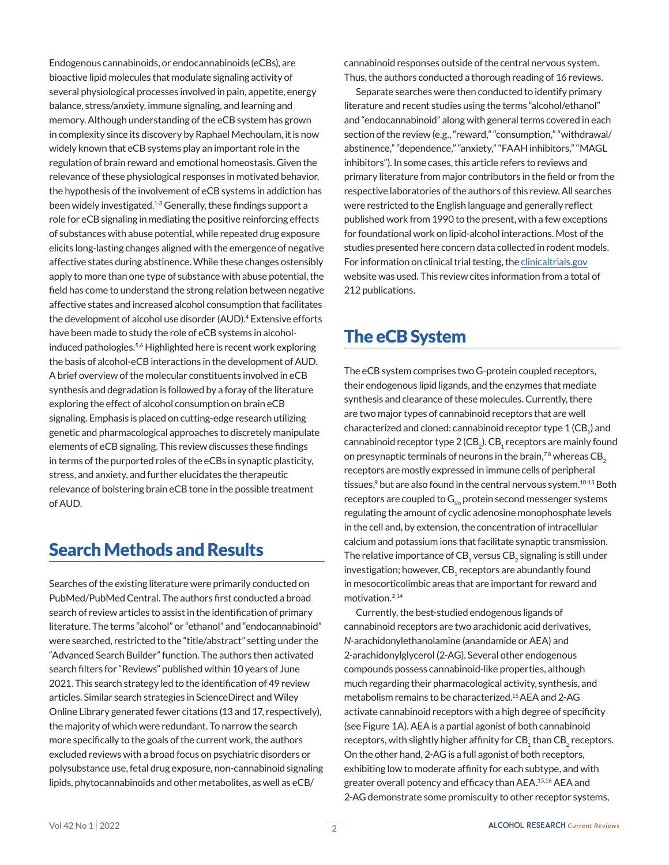Endogenous cannabinoids, or endocannabinoids (eCBs), are bioactive lipid molecules that modulate signaling activity of several physiological processes involved in pain, appetite, energy balance, stress/anxiety, immune signaling, and learning and memory. Although understanding of the eCB system has grown in complexity since its discovery by Raphael Mechoulam, it is now widely known that eCB systems play an important role in the regulation of brain reward and emotional homeostasis. Given the relevance of these physiological responses in motivated behavior, the hypothesis of the involvement of eCB systems in addiction has been widely investigated.<sup>1-3</sup> Generally, these findings support a role for eCB signaling in mediating the positive reinforcing effects of substances with abuse potential, while repeated drug exposure elicits long-lasting changes aligned with the emergence of negative affective states during abstinence. While these changes ostensibly apply to more than one type of substance with abuse potential, the field has come to understand the strong relation between negative affective states and increased alcohol consumption that facilitates the development of alcohol use disorder (AUD).<sup>4</sup> Extensive efforts have been made to study the role of eCB systems in alcoholinduced pathologies.<sup>5,6</sup> Highlighted here is recent work exploring the basis of alcohol-eCB interactions in the development of AUD. A brief overview of the molecular constituents involved in eCB synthesis and degradation is followed by a foray of the literature exploring the effect of alcohol consumption on brain eCB signaling. Emphasis is placed on cutting-edge research utilizing genetic and pharmacological approaches to discretely manipulate elements of eCB signaling. This review discusses these findings in terms of the purported roles of the eCBs in synaptic plasticity, stress, and anxiety, and further elucidates the therapeutic relevance of bolstering brain eCB tone in the possible treatment of AUD.

### Search Methods and Results

Searches of the existing literature were primarily conducted on PubMed/PubMed Central. The authors first conducted a broad search of review articles to assist in the identification of primary literature. The terms "alcohol" or "ethanol" and "endocannabinoid" were searched, restricted to the "title/abstract" setting under the "Advanced Search Builder" function. The authors then activated search filters for "Reviews" published within 10 years of June 2021. This search strategy led to the identification of 49 review articles. Similar search strategies in ScienceDirect and Wiley Online Library generated fewer citations (13 and 17, respectively), the majority of which were redundant. To narrow the search more specifically to the goals of the current work, the authors excluded reviews with a broad focus on psychiatric disorders or polysubstance use, fetal drug exposure, non-cannabinoid signaling lipids, phytocannabinoids and other metabolites, as well as eCB/

cannabinoid responses outside of the central nervous system. Thus, the authors conducted a thorough reading of 16 reviews.

Separate searches were then conducted to identify primary literature and recent studies using the terms "alcohol/ethanol" and "endocannabinoid" along with general terms covered in each section of the review (e.g., "reward," "consumption," "withdrawal/ abstinence," "dependence," "anxiety," "FAAH inhibitors," "MAGL inhibitors"). In some cases, this article refers to reviews and primary literature from major contributors in the field or from the respective laboratories of the authors of this review. All searches were restricted to the English language and generally reflect published work from 1990 to the present, with a few exceptions for foundational work on lipid-alcohol interactions. Most of the studies presented here concern data collected in rodent models. For information on clinical trial testing, the [clinicaltrials.gov](http://clinicaltrials.gov) website was used. This review cites information from a total of 212 publications.

# The eCB System

The eCB system comprises two G-protein coupled receptors, their endogenous lipid ligands, and the enzymes that mediate synthesis and clearance of these molecules. Currently, there are two major types of cannabinoid receptors that are well characterized and cloned: cannabinoid receptor type 1 (CB<sub>1</sub>) and cannabinoid receptor type 2 (CB $_{\textrm{\tiny{2}}}$ ). CB $_{\textrm{\tiny{1}}}$  receptors are mainly found on presynaptic terminals of neurons in the brain, $78$  whereas CB<sub>2</sub> receptors are mostly expressed in immune cells of peripheral tissues,<sup>9</sup> but are also found in the central nervous system.<sup>10-13</sup> Both receptors are coupled to  $G_{i\omega}$  protein second messenger systems regulating the amount of cyclic adenosine monophosphate levels in the cell and, by extension, the concentration of intracellular calcium and potassium ions that facilitate synaptic transmission. The relative importance of CB $_{\textrm{\tiny{1}}}$  versus CB $_{\textrm{\tiny{2}}}$  signaling is still under investigation; however,  $\text{CB}_\text{1}$  receptors are abundantly found in mesocorticolimbic areas that are important for reward and motivation.2,14

Currently, the best-studied endogenous ligands of cannabinoid receptors are two arachidonic acid derivatives, *N*-arachidonylethanolamine (anandamide or AEA) and 2-arachidonylglycerol (2-AG). Several other endogenous compounds possess cannabinoid-like properties, although much regarding their pharmacological activity, synthesis, and metabolism remains to be characterized.15 AEA and 2-AG activate cannabinoid receptors with a high degree of specificity (see Figure 1A). AEA is a partial agonist of both cannabinoid receptors, with slightly higher affinity for  $\text{CB}_\text{1}$  than  $\text{CB}_\text{2}$  receptors. On the other hand, 2-AG is a full agonist of both receptors, exhibiting low to moderate affinity for each subtype, and with greater overall potency and efficacy than AEA.15,16 AEA and 2-AG demonstrate some promiscuity to other receptor systems,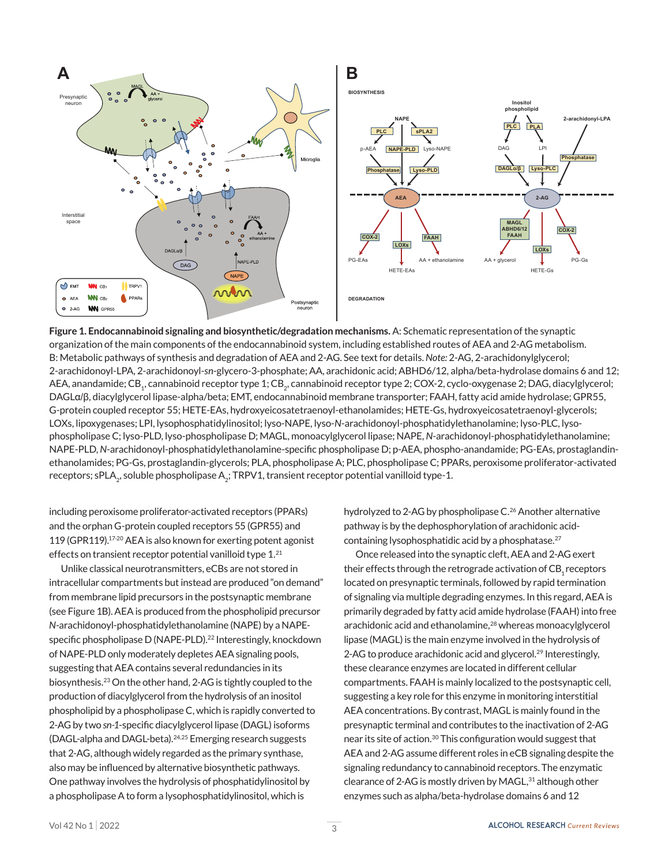

**Figure 1. Endocannabinoid signaling and biosynthetic/degradation mechanisms.** A: Schematic representation of the synaptic organization of the main components of the endocannabinoid system, including established routes of AEA and 2-AG metabolism. B: Metabolic pathways of synthesis and degradation of AEA and 2-AG. See text for details. *Note:* 2-AG, 2-arachidonylglycerol; 2-arachidonoyl-LPA, 2-arachidonoyl-*sn*-glycero-3-phosphate; AA, arachidonic acid; ABHD6/12, alpha/beta-hydrolase domains 6 and 12; AEA, anandamide; CB<sub>1</sub>, cannabinoid receptor type 1; CB<sub>2</sub>, cannabinoid receptor type 2; COX-2, cyclo-oxygenase 2; DAG, diacylglycerol; DAGLα/β, diacylglycerol lipase-alpha/beta; EMT, endocannabinoid membrane transporter; FAAH, fatty acid amide hydrolase; GPR55, G-protein coupled receptor 55; HETE-EAs, hydroxyeicosatetraenoyl-ethanolamides; HETE-Gs, hydroxyeicosatetraenoyl-glycerols; LOXs, lipoxygenases; LPI, lysophosphatidylinositol; lyso-NAPE, lyso-*N*-arachidonoyl-phosphatidylethanolamine; lyso-PLC, lysophospholipase C; lyso-PLD, lyso-phospholipase D; MAGL, monoacylglycerol lipase; NAPE, *N*-arachidonoyl-phosphatidylethanolamine; NAPE-PLD, *N*-arachidonoyl-phosphatidylethanolamine-specific phospholipase D; p-AEA, phospho-anandamide; PG-EAs, prostaglandinethanolamides; PG-Gs, prostaglandin-glycerols; PLA, phospholipase A; PLC, phospholipase C; PPARs, peroxisome proliferator-activated receptors; sPLA<sub>2</sub>, soluble phospholipase A<sub>2</sub>; TRPV1, transient receptor potential vanilloid type-1.

including peroxisome proliferator-activated receptors (PPARs) and the orphan G-protein coupled receptors 55 (GPR55) and 119 (GPR119).17-20 AEA is also known for exerting potent agonist effects on transient receptor potential vanilloid type  $1.^{21}$ 

Unlike classical neurotransmitters, eCBs are not stored in intracellular compartments but instead are produced "on demand" from membrane lipid precursors in the postsynaptic membrane (see Figure 1B). AEA is produced from the phospholipid precursor *N*-arachidonoyl-phosphatidylethanolamine (NAPE) by a NAPEspecific phospholipase D (NAPE-PLD).<sup>22</sup> Interestingly, knockdown of NAPE-PLD only moderately depletes AEA signaling pools, suggesting that AEA contains several redundancies in its biosynthesis.23 On the other hand, 2-AG is tightly coupled to the production of diacylglycerol from the hydrolysis of an inositol phospholipid by a phospholipase C, which is rapidly converted to 2-AG by two *sn-1*-specific diacylglycerol lipase (DAGL) isoforms (DAGL-alpha and DAGL-beta).<sup>24,25</sup> Emerging research suggests that 2-AG, although widely regarded as the primary synthase, also may be influenced by alternative biosynthetic pathways. One pathway involves the hydrolysis of phosphatidylinositol by a phospholipase A to form a lysophosphatidylinositol, which is

hydrolyzed to 2-AG by phospholipase C.<sup>26</sup> Another alternative pathway is by the dephosphorylation of arachidonic acidcontaining lysophosphatidic acid by a phosphatase.<sup>27</sup>

Once released into the synaptic cleft, AEA and 2-AG exert their effects through the retrograde activation of  $CB_1$  receptors located on presynaptic terminals, followed by rapid termination of signaling via multiple degrading enzymes. In this regard, AEA is primarily degraded by fatty acid amide hydrolase (FAAH) into free arachidonic acid and ethanolamine,<sup>28</sup> whereas monoacylglycerol lipase (MAGL) is the main enzyme involved in the hydrolysis of 2-AG to produce arachidonic acid and glycerol.<sup>29</sup> Interestingly, these clearance enzymes are located in different cellular compartments. FAAH is mainly localized to the postsynaptic cell, suggesting a key role for this enzyme in monitoring interstitial AEA concentrations. By contrast, MAGL is mainly found in the presynaptic terminal and contributes to the inactivation of 2-AG near its site of action.<sup>30</sup> This configuration would suggest that AEA and 2-AG assume different roles in eCB signaling despite the signaling redundancy to cannabinoid receptors. The enzymatic clearance of 2-AG is mostly driven by  $MAGL$ ,<sup>31</sup> although other enzymes such as alpha/beta-hydrolase domains 6 and 12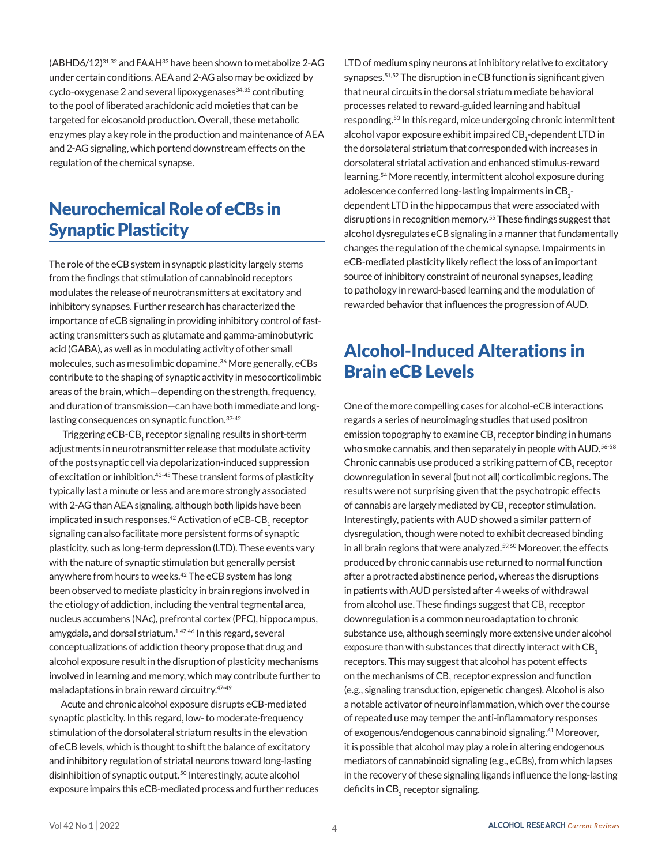$(ABHD6/12)^{31,32}$  and  $FAAH^{33}$  have been shown to metabolize 2-AG under certain conditions. AEA and 2-AG also may be oxidized by cyclo-oxygenase 2 and several lipoxygenases<sup>34,35</sup> contributing to the pool of liberated arachidonic acid moieties that can be targeted for eicosanoid production. Overall, these metabolic enzymes play a key role in the production and maintenance of AEA and 2-AG signaling, which portend downstream effects on the regulation of the chemical synapse.

# Neurochemical Role of eCBs in Synaptic Plasticity

The role of the eCB system in synaptic plasticity largely stems from the findings that stimulation of cannabinoid receptors modulates the release of neurotransmitters at excitatory and inhibitory synapses. Further research has characterized the importance of eCB signaling in providing inhibitory control of fastacting transmitters such as glutamate and gamma-aminobutyric acid (GABA), as well as in modulating activity of other small molecules, such as mesolimbic dopamine.36 More generally, eCBs contribute to the shaping of synaptic activity in mesocorticolimbic areas of the brain, which—depending on the strength, frequency, and duration of transmission—can have both immediate and longlasting consequences on synaptic function. 37-42

Triggering  $eCB$ -CB<sub>1</sub> receptor signaling results in short-term adjustments in neurotransmitter release that modulate activity of the postsynaptic cell via depolarization-induced suppression of excitation or inhibition.<sup>43-45</sup> These transient forms of plasticity typically last a minute or less and are more strongly associated with 2-AG than AEA signaling, although both lipids have been implicated in such responses. $^{42}$  Activation of eCB-CB $_{\rm 1}$  receptor signaling can also facilitate more persistent forms of synaptic plasticity, such as long-term depression (LTD). These events vary with the nature of synaptic stimulation but generally persist anywhere from hours to weeks.<sup>42</sup> The eCB system has long been observed to mediate plasticity in brain regions involved in the etiology of addiction, including the ventral tegmental area, nucleus accumbens (NAc), prefrontal cortex (PFC), hippocampus, amygdala, and dorsal striatum.<sup>1,42,46</sup> In this regard, several conceptualizations of addiction theory propose that drug and alcohol exposure result in the disruption of plasticity mechanisms involved in learning and memory, which may contribute further to maladaptations in brain reward circuitry.47-49

Acute and chronic alcohol exposure disrupts eCB-mediated synaptic plasticity. In this regard, low- to moderate-frequency stimulation of the dorsolateral striatum results in the elevation of eCB levels, which is thought to shift the balance of excitatory and inhibitory regulation of striatal neurons toward long-lasting disinhibition of synaptic output.<sup>50</sup> Interestingly, acute alcohol exposure impairs this eCB-mediated process and further reduces LTD of medium spiny neurons at inhibitory relative to excitatory synapses.51,52 The disruption in eCB function is significant given that neural circuits in the dorsal striatum mediate behavioral processes related to reward-guided learning and habitual responding.53 In this regard, mice undergoing chronic intermittent alcohol vapor exposure exhibit impaired  $\text{CB}_\text{i}$ -dependent LTD in the dorsolateral striatum that corresponded with increases in dorsolateral striatal activation and enhanced stimulus-reward learning.54 More recently, intermittent alcohol exposure during adolescence conferred long-lasting impairments in CB $_{\rm 1}$ dependent LTD in the hippocampus that were associated with disruptions in recognition memory.55 These findings suggest that alcohol dysregulates eCB signaling in a manner that fundamentally changes the regulation of the chemical synapse. Impairments in eCB-mediated plasticity likely reflect the loss of an important source of inhibitory constraint of neuronal synapses, leading to pathology in reward-based learning and the modulation of rewarded behavior that influences the progression of AUD.

# Alcohol-Induced Alterations in Brain eCB Levels

One of the more compelling cases for alcohol-eCB interactions regards a series of neuroimaging studies that used positron emission topography to examine  $\text{CB}_\text{1}$  receptor binding in humans who smoke cannabis, and then separately in people with AUD.<sup>56-58</sup> Chronic cannabis use produced a striking pattern of  $\mathsf{CB}_\mathtt{1}$  receptor downregulation in several (but not all) corticolimbic regions. The results were not surprising given that the psychotropic effects of cannabis are largely mediated by  $\text{CB}_\text{1}$  receptor stimulation. Interestingly, patients with AUD showed a similar pattern of dysregulation, though were noted to exhibit decreased binding in all brain regions that were analyzed.<sup>59,60</sup> Moreover, the effects produced by chronic cannabis use returned to normal function after a protracted abstinence period, whereas the disruptions in patients with AUD persisted after 4 weeks of withdrawal from alcohol use. These findings suggest that  $\mathsf{CB}_\mathtt{1}$  receptor downregulation is a common neuroadaptation to chronic substance use, although seemingly more extensive under alcohol exposure than with substances that directly interact with CB<sub>1</sub> receptors. This may suggest that alcohol has potent effects on the mechanisms of  $\mathsf{CB}_\mathtt{1}$  receptor expression and function (e.g., signaling transduction, epigenetic changes). Alcohol is also a notable activator of neuroinflammation, which over the course of repeated use may temper the anti-inflammatory responses of exogenous/endogenous cannabinoid signaling.<sup>61</sup> Moreover, it is possible that alcohol may play a role in altering endogenous mediators of cannabinoid signaling (e.g., eCBs), from which lapses in the recovery of these signaling ligands influence the long-lasting deficits in CB $_{\rm_1}$ receptor signaling.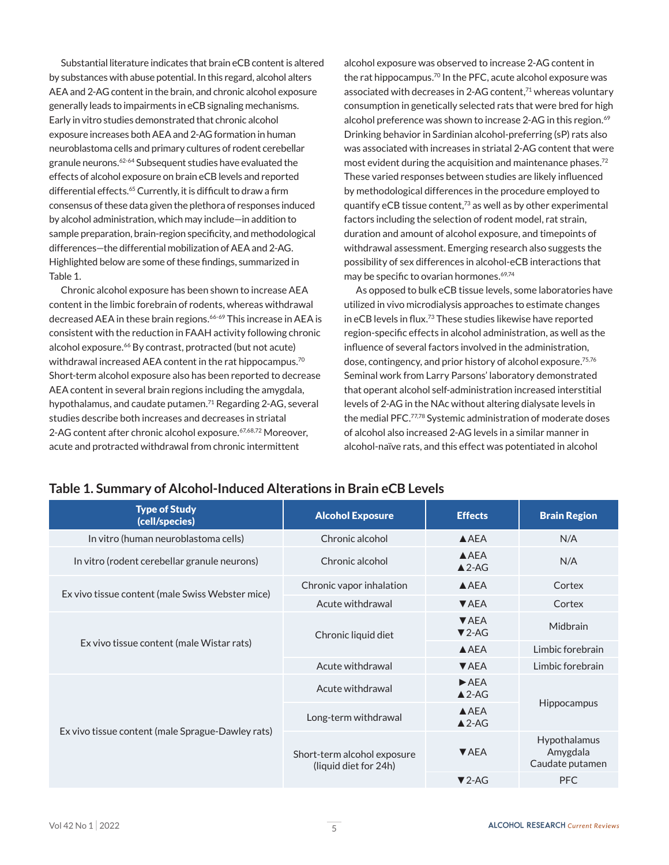Substantial literature indicates that brain eCB content is altered by substances with abuse potential. In this regard, alcohol alters AEA and 2-AG content in the brain, and chronic alcohol exposure generally leads to impairments in eCB signaling mechanisms. Early in vitro studies demonstrated that chronic alcohol exposure increases both AEA and 2-AG formation in human neuroblastoma cells and primary cultures of rodent cerebellar granule neurons.62-64 Subsequent studies have evaluated the effects of alcohol exposure on brain eCB levels and reported differential effects.<sup>65</sup> Currently, it is difficult to draw a firm consensus of these data given the plethora of responses induced by alcohol administration, which may include—in addition to sample preparation, brain-region specificity, and methodological differences—the differential mobilization of AEA and 2-AG. Highlighted below are some of these findings, summarized in Table 1.

Chronic alcohol exposure has been shown to increase AEA content in the limbic forebrain of rodents, whereas withdrawal decreased AEA in these brain regions.<sup>66-69</sup> This increase in AEA is consistent with the reduction in FAAH activity following chronic alcohol exposure.<sup>66</sup> By contrast, protracted (but not acute) withdrawal increased AEA content in the rat hippocampus.<sup>70</sup> Short-term alcohol exposure also has been reported to decrease AEA content in several brain regions including the amygdala, hypothalamus, and caudate putamen.<sup>71</sup> Regarding 2-AG, several studies describe both increases and decreases in striatal 2-AG content after chronic alcohol exposure.<sup>67,68,72</sup> Moreover, acute and protracted withdrawal from chronic intermittent

alcohol exposure was observed to increase 2-AG content in the rat hippocampus.<sup>70</sup> In the PFC, acute alcohol exposure was associated with decreases in 2-AG content,<sup>71</sup> whereas voluntary consumption in genetically selected rats that were bred for high alcohol preference was shown to increase 2-AG in this region.<sup>69</sup> Drinking behavior in Sardinian alcohol-preferring (sP) rats also was associated with increases in striatal 2-AG content that were most evident during the acquisition and maintenance phases.72 These varied responses between studies are likely influenced by methodological differences in the procedure employed to quantify eCB tissue content,73 as well as by other experimental factors including the selection of rodent model, rat strain, duration and amount of alcohol exposure, and timepoints of withdrawal assessment. Emerging research also suggests the possibility of sex differences in alcohol-eCB interactions that may be specific to ovarian hormones.<sup>69,74</sup>

As opposed to bulk eCB tissue levels, some laboratories have utilized in vivo microdialysis approaches to estimate changes in eCB levels in flux.73 These studies likewise have reported region-specific effects in alcohol administration, as well as the influence of several factors involved in the administration, dose, contingency, and prior history of alcohol exposure.<sup>75,76</sup> Seminal work from Larry Parsons' laboratory demonstrated that operant alcohol self-administration increased interstitial levels of 2-AG in the NAc without altering dialysate levels in the medial PFC.77,78 Systemic administration of moderate doses of alcohol also increased 2-AG levels in a similar manner in alcohol-naïve rats, and this effect was potentiated in alcohol

### **Table 1. Summary of Alcohol-Induced Alterations in Brain eCB Levels**

| <b>Type of Study</b><br>(cell/species)            | <b>Alcohol Exposure</b>                              | <b>Effects</b>                                | <b>Brain Region</b>                         |
|---------------------------------------------------|------------------------------------------------------|-----------------------------------------------|---------------------------------------------|
| In vitro (human neuroblastoma cells)              | Chronic alcohol                                      | AAEA                                          | N/A                                         |
| In vitro (rodent cerebellar granule neurons)      | Chronic alcohol                                      | AAEA<br>$\triangle$ 2-AG                      | N/A                                         |
| Ex vivo tissue content (male Swiss Webster mice)  | Chronic vapor inhalation                             | $A$ AEA                                       | Cortex                                      |
|                                                   | Acute withdrawal                                     | <b>VAEA</b>                                   | Cortex                                      |
| Ex vivo tissue content (male Wistar rats)         | Chronic liquid diet                                  | $\blacktriangledown$ AEA<br>$\nabla$ 2-AG     | Midbrain                                    |
|                                                   |                                                      | AAEA                                          | Limbic forebrain                            |
|                                                   | Acute withdrawal                                     | <b>VAEA</b>                                   | Limbic forebrain                            |
| Ex vivo tissue content (male Sprague-Dawley rats) | Acute withdrawal                                     | $\blacktriangleright$ AEA<br>$\triangle$ 2-AG | <b>Hippocampus</b>                          |
|                                                   | Long-term withdrawal                                 | $A$ AEA<br>$\triangle$ 2-AG                   |                                             |
|                                                   | Short-term alcohol exposure<br>(liquid diet for 24h) | $\blacktriangledown$ AEA                      | Hypothalamus<br>Amygdala<br>Caudate putamen |
|                                                   |                                                      | $\nabla$ 2-AG                                 | <b>PFC</b>                                  |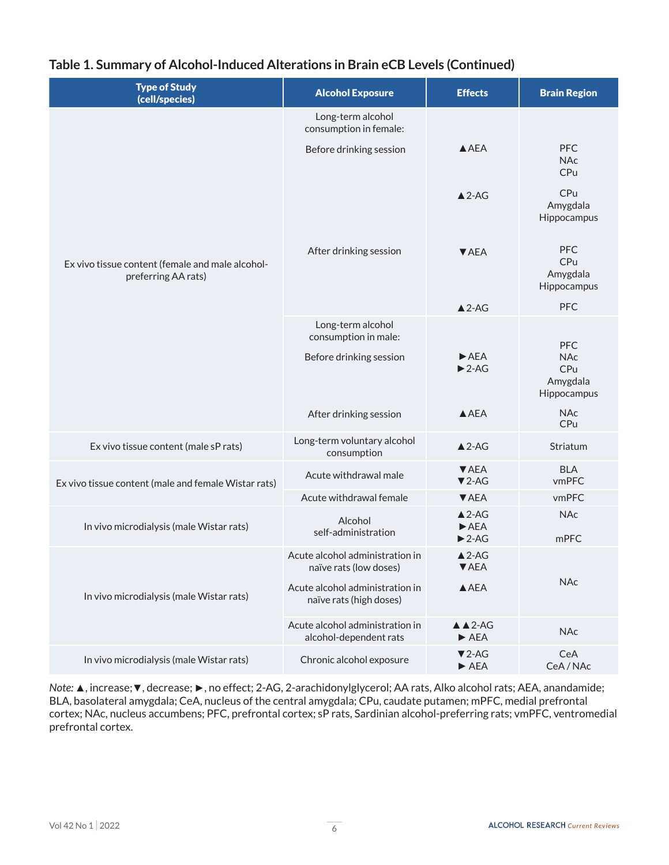### **Table 1. Summary of Alcohol-Induced Alterations in Brain eCB Levels (Continued)**

| <b>Type of Study</b><br>(cell/species)                                  | <b>Alcohol Exposure</b>                                    | <b>Effects</b>                                                              | <b>Brain Region</b>                          |
|-------------------------------------------------------------------------|------------------------------------------------------------|-----------------------------------------------------------------------------|----------------------------------------------|
| Ex vivo tissue content (female and male alcohol-<br>preferring AA rats) | Long-term alcohol<br>consumption in female:                |                                                                             |                                              |
|                                                                         | Before drinking session                                    | AAEA                                                                        | <b>PFC</b><br><b>NAc</b><br>CPu              |
|                                                                         |                                                            | $\triangle$ 2-AG                                                            | CPu<br>Amygdala<br>Hippocampus               |
|                                                                         | After drinking session                                     | <b>VAEA</b>                                                                 | PFC<br>CPu<br>Amygdala<br>Hippocampus        |
|                                                                         |                                                            | $\triangle$ 2-AG                                                            | <b>PFC</b>                                   |
|                                                                         | Long-term alcohol<br>consumption in male:                  |                                                                             | <b>PFC</b>                                   |
|                                                                         | Before drinking session                                    | $\blacktriangleright$ AEA<br>$\blacktriangleright$ 2-AG                     | <b>NAc</b><br>CPu<br>Amygdala<br>Hippocampus |
|                                                                         | After drinking session                                     | AAEA                                                                        | <b>NAc</b><br>CPu                            |
| Ex vivo tissue content (male sP rats)                                   | Long-term voluntary alcohol<br>consumption                 | $\triangle$ 2-AG                                                            | Striatum                                     |
| Ex vivo tissue content (male and female Wistar rats)                    | Acute withdrawal male                                      | ▼ AEA<br>$\nabla$ 2-AG                                                      | <b>BLA</b><br>vmPFC                          |
|                                                                         | Acute withdrawal female                                    | $\nabla$ AEA                                                                | vmPFC                                        |
| In vivo microdialysis (male Wistar rats)                                | Alcohol<br>self-administration                             | $\triangle$ 2-AG<br>$\blacktriangleright$ AEA<br>$\blacktriangleright$ 2-AG | <b>NAc</b><br>mPFC                           |
| In vivo microdialysis (male Wistar rats)                                | Acute alcohol administration in<br>naïve rats (low doses)  | $\triangle$ 2-AG<br>▼ AEA                                                   |                                              |
|                                                                         | Acute alcohol administration in<br>naïve rats (high doses) | AAEA                                                                        | <b>NAc</b>                                   |
|                                                                         | Acute alcohol administration in<br>alcohol-dependent rats  | $\triangle$ $\triangle$ 2-AG<br>$\blacktriangleright$ AEA                   | <b>NAc</b>                                   |
| In vivo microdialysis (male Wistar rats)                                | Chronic alcohol exposure                                   | $\nabla$ 2-AG<br>$\blacktriangleright$ AEA                                  | CeA<br>CeA/NAc                               |

*Note:* ▲, increase;▼, decrease; ►, no effect; 2-AG, 2-arachidonylglycerol; AA rats, Alko alcohol rats; AEA, anandamide; BLA, basolateral amygdala; CeA, nucleus of the central amygdala; CPu, caudate putamen; mPFC, medial prefrontal cortex; NAc, nucleus accumbens; PFC, prefrontal cortex; sP rats, Sardinian alcohol-preferring rats; vmPFC, ventromedial prefrontal cortex.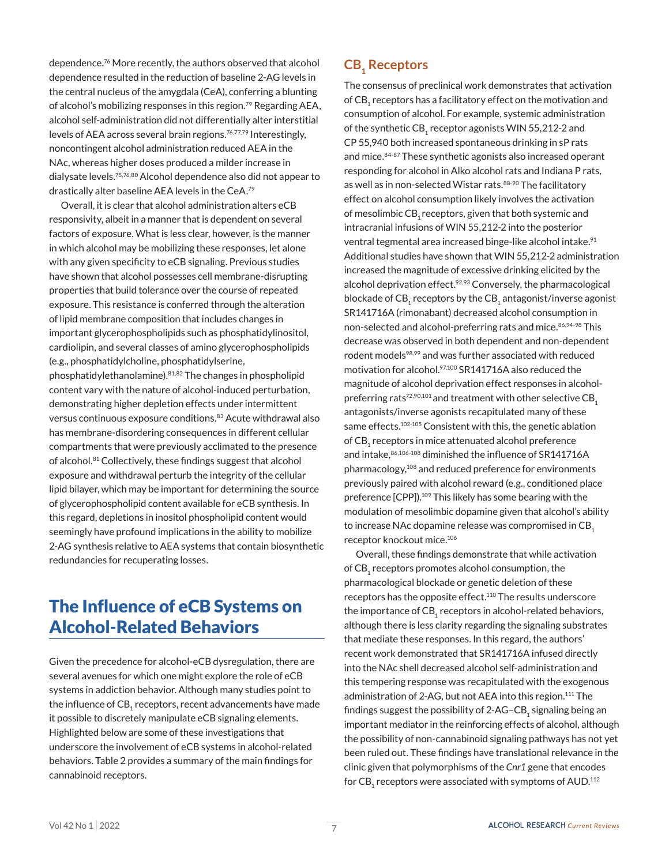dependence.76 More recently, the authors observed that alcohol dependence resulted in the reduction of baseline 2-AG levels in the central nucleus of the amygdala (CeA), conferring a blunting of alcohol's mobilizing responses in this region.<sup>79</sup> Regarding AEA, alcohol self-administration did not differentially alter interstitial levels of AEA across several brain regions.<sup>76,77,79</sup> Interestingly, noncontingent alcohol administration reduced AEA in the NAc, whereas higher doses produced a milder increase in dialysate levels.75,76,80 Alcohol dependence also did not appear to drastically alter baseline AEA levels in the CeA.79

Overall, it is clear that alcohol administration alters eCB responsivity, albeit in a manner that is dependent on several factors of exposure. What is less clear, however, is the manner in which alcohol may be mobilizing these responses, let alone with any given specificity to eCB signaling. Previous studies have shown that alcohol possesses cell membrane-disrupting properties that build tolerance over the course of repeated exposure. This resistance is conferred through the alteration of lipid membrane composition that includes changes in important glycerophospholipids such as phosphatidylinositol, cardiolipin, and several classes of amino glycerophospholipids (e.g., phosphatidylcholine, phosphatidylserine,

phosphatidylethanolamine).81,82 The changes in phospholipid content vary with the nature of alcohol-induced perturbation, demonstrating higher depletion effects under intermittent versus continuous exposure conditions.<sup>83</sup> Acute withdrawal also has membrane-disordering consequences in different cellular compartments that were previously acclimated to the presence of alcohol.<sup>81</sup> Collectively, these findings suggest that alcohol exposure and withdrawal perturb the integrity of the cellular lipid bilayer, which may be important for determining the source of glycerophospholipid content available for eCB synthesis. In this regard, depletions in inositol phospholipid content would seemingly have profound implications in the ability to mobilize 2-AG synthesis relative to AEA systems that contain biosynthetic redundancies for recuperating losses.

### The Influence of eCB Systems on Alcohol-Related Behaviors

Given the precedence for alcohol-eCB dysregulation, there are several avenues for which one might explore the role of eCB systems in addiction behavior. Although many studies point to the influence of CB<sub>1</sub> receptors, recent advancements have made it possible to discretely manipulate eCB signaling elements. Highlighted below are some of these investigations that underscore the involvement of eCB systems in alcohol-related behaviors. Table 2 provides a summary of the main findings for cannabinoid receptors.

### **CB**, Receptors

The consensus of preclinical work demonstrates that activation of CB<sub>1</sub> receptors has a facilitatory effect on the motivation and consumption of alcohol. For example, systemic administration of the synthetic CB, receptor agonists WIN 55,212-2 and CP 55,940 both increased spontaneous drinking in sP rats and mice.84-87 These synthetic agonists also increased operant responding for alcohol in Alko alcohol rats and Indiana P rats, as well as in non-selected Wistar rats.<sup>88-90</sup> The facilitatory effect on alcohol consumption likely involves the activation of mesolimbic CB, receptors, given that both systemic and intracranial infusions of WIN 55,212-2 into the posterior ventral tegmental area increased binge-like alcohol intake.<sup>91</sup> Additional studies have shown that WIN 55,212-2 administration increased the magnitude of excessive drinking elicited by the alcohol deprivation effect.<sup>92,93</sup> Conversely, the pharmacological blockade of  $CB_1$  receptors by the  $CB_1$  antagonist/inverse agonist SR141716A (rimonabant) decreased alcohol consumption in non-selected and alcohol-preferring rats and mice. 86,94-98 This decrease was observed in both dependent and non-dependent rodent models<sup>98,99</sup> and was further associated with reduced motivation for alcohol.<sup>97,100</sup> SR141716A also reduced the magnitude of alcohol deprivation effect responses in alcoholpreferring rats<sup>72,90,101</sup> and treatment with other selective CB<sub>1</sub> antagonists/inverse agonists recapitulated many of these same effects.<sup>102-105</sup> Consistent with this, the genetic ablation of CB<sub>1</sub> receptors in mice attenuated alcohol preference and intake, 86,106-108 diminished the influence of SR141716A pharmacology,108 and reduced preference for environments previously paired with alcohol reward (e.g., conditioned place preference [CPP]). 109 This likely has some bearing with the modulation of mesolimbic dopamine given that alcohol's ability to increase NAc dopamine release was compromised in CB<sub>1</sub> receptor knockout mice.106

Overall, these findings demonstrate that while activation of CB<sub>1</sub> receptors promotes alcohol consumption, the pharmacological blockade or genetic deletion of these receptors has the opposite effect.<sup>110</sup> The results underscore the importance of  $CB_1$  receptors in alcohol-related behaviors, although there is less clarity regarding the signaling substrates that mediate these responses. In this regard, the authors' recent work demonstrated that SR141716A infused directly into the NAc shell decreased alcohol self-administration and this tempering response was recapitulated with the exogenous administration of 2-AG, but not AEA into this region.<sup>111</sup> The findings suggest the possibility of 2-AG-CB, signaling being an important mediator in the reinforcing effects of alcohol, although the possibility of non-cannabinoid signaling pathways has not yet been ruled out. These findings have translational relevance in the clinic given that polymorphisms of the *Cnr1* gene that encodes for CB<sub>1</sub> receptors were associated with symptoms of AUD.<sup>112</sup>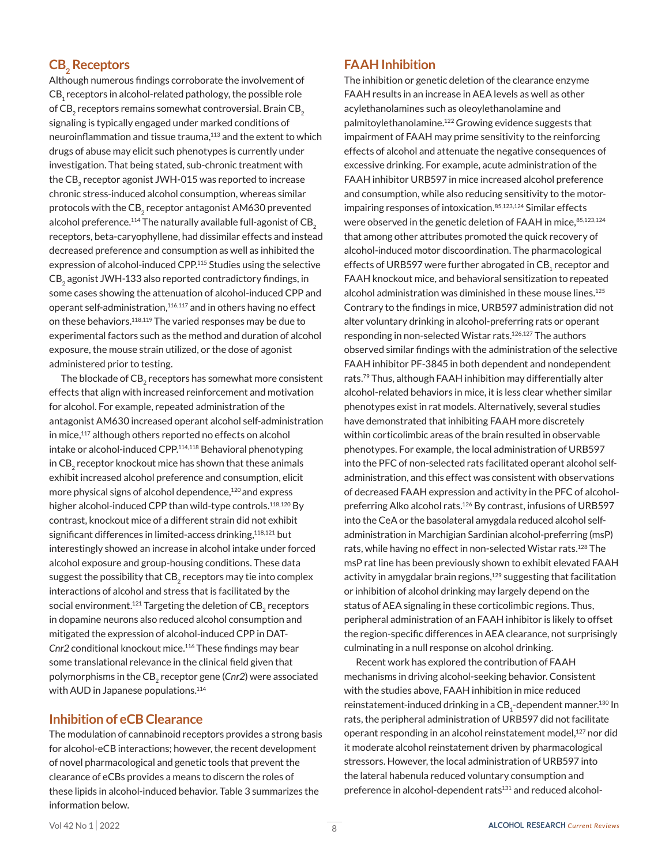### $CB<sub>2</sub>$  Receptors

Although numerous findings corroborate the involvement of CB<sub>1</sub> receptors in alcohol-related pathology, the possible role of CB<sub>2</sub> receptors remains somewhat controversial. Brain CB<sub>2</sub> signaling is typically engaged under marked conditions of neuroinflammation and tissue trauma,<sup>113</sup> and the extent to which drugs of abuse may elicit such phenotypes is currently under investigation. That being stated, sub-chronic treatment with the CB<sub>2</sub> receptor agonist JWH-015 was reported to increase chronic stress-induced alcohol consumption, whereas similar protocols with the CB<sub>2</sub> receptor antagonist AM630 prevented alcohol preference.<sup>114</sup> The naturally available full-agonist of  $CB<sub>2</sub>$ receptors, beta-caryophyllene, had dissimilar effects and instead decreased preference and consumption as well as inhibited the expression of alcohol-induced CPP.115 Studies using the selective CB<sub>2</sub> agonist JWH-133 also reported contradictory findings, in some cases showing the attenuation of alcohol-induced CPP and operant self-administration,<sup>116,117</sup> and in others having no effect on these behaviors.<sup>118,119</sup> The varied responses may be due to experimental factors such as the method and duration of alcohol exposure, the mouse strain utilized, or the dose of agonist administered prior to testing.

The blockade of CB<sub>2</sub> receptors has somewhat more consistent effects that align with increased reinforcement and motivation for alcohol. For example, repeated administration of the antagonist AM630 increased operant alcohol self-administration in mice,<sup>117</sup> although others reported no effects on alcohol intake or alcohol-induced CPP.114,118 Behavioral phenotyping in CB<sub>2</sub> receptor knockout mice has shown that these animals exhibit increased alcohol preference and consumption, elicit more physical signs of alcohol dependence,<sup>120</sup> and express higher alcohol-induced CPP than wild-type controls.<sup>118,120</sup> By contrast, knockout mice of a different strain did not exhibit significant differences in limited-access drinking,<sup>118,121</sup> but interestingly showed an increase in alcohol intake under forced alcohol exposure and group-housing conditions. These data suggest the possibility that CB<sub>2</sub> receptors may tie into complex interactions of alcohol and stress that is facilitated by the social environment.<sup>121</sup> Targeting the deletion of  $CB<sub>2</sub>$  receptors in dopamine neurons also reduced alcohol consumption and mitigated the expression of alcohol-induced CPP in DAT-*Cnr2* conditional knockout mice.116 These findings may bear some translational relevance in the clinical field given that polymorphisms in the CB<sub>2</sub> receptor gene (Cnr2) were associated with AUD in Japanese populations.<sup>114</sup>

#### **Inhibition of eCB Clearance**

The modulation of cannabinoid receptors provides a strong basis for alcohol-eCB interactions; however, the recent development of novel pharmacological and genetic tools that prevent the clearance of eCBs provides a means to discern the roles of these lipids in alcohol-induced behavior. Table 3 summarizes the information below.

#### **FAAH Inhibition**

The inhibition or genetic deletion of the clearance enzyme FAAH results in an increase in AEA levels as well as other acylethanolamines such as oleoylethanolamine and palmitoylethanolamine.122 Growing evidence suggests that impairment of FAAH may prime sensitivity to the reinforcing effects of alcohol and attenuate the negative consequences of excessive drinking. For example, acute administration of the FAAH inhibitor URB597 in mice increased alcohol preference and consumption, while also reducing sensitivity to the motorimpairing responses of intoxication.85,123,124 Similar effects were observed in the genetic deletion of FAAH in mice, 85,123,124 that among other attributes promoted the quick recovery of alcohol-induced motor discoordination. The pharmacological effects of URB597 were further abrogated in  $CB_1$  receptor and FAAH knockout mice, and behavioral sensitization to repeated alcohol administration was diminished in these mouse lines.<sup>125</sup> Contrary to the findings in mice, URB597 administration did not alter voluntary drinking in alcohol-preferring rats or operant responding in non-selected Wistar rats.126,127 The authors observed similar findings with the administration of the selective FAAH inhibitor PF-3845 in both dependent and nondependent rats.79 Thus, although FAAH inhibition may differentially alter alcohol-related behaviors in mice, it is less clear whether similar phenotypes exist in rat models. Alternatively, several studies have demonstrated that inhibiting FAAH more discretely within corticolimbic areas of the brain resulted in observable phenotypes. For example, the local administration of URB597 into the PFC of non-selected rats facilitated operant alcohol selfadministration, and this effect was consistent with observations of decreased FAAH expression and activity in the PFC of alcoholpreferring Alko alcohol rats.126 By contrast, infusions of URB597 into the CeA or the basolateral amygdala reduced alcohol selfadministration in Marchigian Sardinian alcohol-preferring (msP) rats, while having no effect in non-selected Wistar rats.128 The msP rat line has been previously shown to exhibit elevated FAAH activity in amygdalar brain regions,<sup>129</sup> suggesting that facilitation or inhibition of alcohol drinking may largely depend on the status of AEA signaling in these corticolimbic regions. Thus, peripheral administration of an FAAH inhibitor is likely to offset the region-specific differences in AEA clearance, not surprisingly culminating in a null response on alcohol drinking.

Recent work has explored the contribution of FAAH mechanisms in driving alcohol-seeking behavior. Consistent with the studies above, FAAH inhibition in mice reduced reinstatement-induced drinking in a CB $_{{\rm 1}}$ -dependent manner. $^{\rm 130}$  In rats, the peripheral administration of URB597 did not facilitate operant responding in an alcohol reinstatement model,<sup>127</sup> nor did it moderate alcohol reinstatement driven by pharmacological stressors. However, the local administration of URB597 into the lateral habenula reduced voluntary consumption and preference in alcohol-dependent rats<sup>131</sup> and reduced alcohol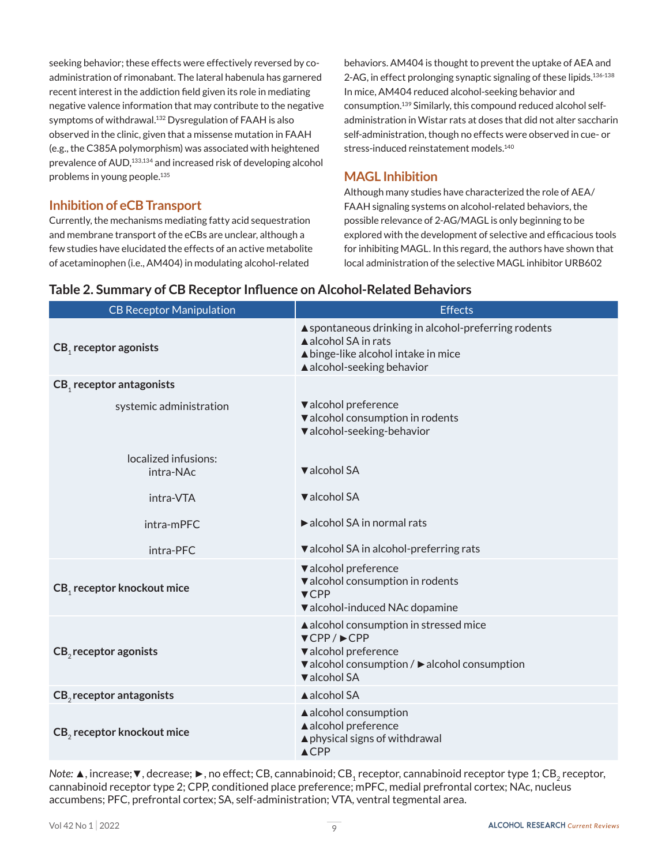seeking behavior; these effects were effectively reversed by coadministration of rimonabant. The lateral habenula has garnered recent interest in the addiction field given its role in mediating negative valence information that may contribute to the negative symptoms of withdrawal.<sup>132</sup> Dysregulation of FAAH is also observed in the clinic, given that a missense mutation in FAAH (e.g., the C385A polymorphism) was associated with heightened prevalence of AUD,<sup>133,134</sup> and increased risk of developing alcohol problems in young people.135

### **Inhibition of eCB Transport**

Currently, the mechanisms mediating fatty acid sequestration and membrane transport of the eCBs are unclear, although a few studies have elucidated the effects of an active metabolite of acetaminophen (i.e., AM404) in modulating alcohol-related

behaviors. AM404 is thought to prevent the uptake of AEA and 2-AG, in effect prolonging synaptic signaling of these lipids.136-138 In mice, AM404 reduced alcohol-seeking behavior and consumption.139 Similarly, this compound reduced alcohol selfadministration in Wistar rats at doses that did not alter saccharin self-administration, though no effects were observed in cue- or stress-induced reinstatement models.140

### **MAGL Inhibition**

Although many studies have characterized the role of AEA/ FAAH signaling systems on alcohol-related behaviors, the possible relevance of 2-AG/MAGL is only beginning to be explored with the development of selective and efficacious tools for inhibiting MAGL. In this regard, the authors have shown that local administration of the selective MAGL inhibitor URB602

| <b>CB Receptor Manipulation</b>        | <b>Effects</b>                                                                                                                                                                       |
|----------------------------------------|--------------------------------------------------------------------------------------------------------------------------------------------------------------------------------------|
| CB, receptor agonists                  | ▲ spontaneous drinking in alcohol-preferring rodents<br>▲ alcohol SA in rats<br>▲ binge-like alcohol intake in mice<br>$\triangle$ alcohol-seeking behavior                          |
| CB, receptor antagonists               |                                                                                                                                                                                      |
| systemic administration                | valcohol preference<br>valcohol consumption in rodents<br>valcohol-seeking-behavior                                                                                                  |
| localized infusions:<br>intra-NAc      | ▼alcohol SA                                                                                                                                                                          |
| intra-VTA                              | ▼alcohol SA                                                                                                                                                                          |
| intra-mPFC                             | alcohol SA in normal rats                                                                                                                                                            |
| intra-PFC                              | ▼ alcohol SA in alcohol-preferring rats                                                                                                                                              |
| CB, receptor knockout mice             | valcohol preference<br>valcohol consumption in rodents<br>$\nabla$ CPP<br>valcohol-induced NAc dopamine                                                                              |
| CB <sub>2</sub> receptor agonists      | ▲ alcohol consumption in stressed mice<br>$\blacktriangledown$ CPP/ $\blacktriangleright$ CPP<br>valcohol preference<br>▼ alcohol consumption / ▶ alcohol consumption<br>▼alcohol SA |
| $CB2$ receptor antagonists             | ▲ alcohol SA                                                                                                                                                                         |
| CB <sub>2</sub> receptor knockout mice | ▲ alcohol consumption<br>▲ alcohol preference<br>▲ physical signs of withdrawal<br>$\triangle$ CPP                                                                                   |

### **Table 2. Summary of CB Receptor Influence on Alcohol-Related Behaviors**

*Note*: **▲**, increase; ▼, decrease; ▶, no effect; CB, cannabinoid; CB<sub>1</sub> receptor, cannabinoid receptor type 1; CB<sub>2</sub> receptor, cannabinoid receptor type 2; CPP, conditioned place preference; mPFC, medial prefrontal cortex; NAc, nucleus accumbens; PFC, prefrontal cortex; SA, self-administration; VTA, ventral tegmental area.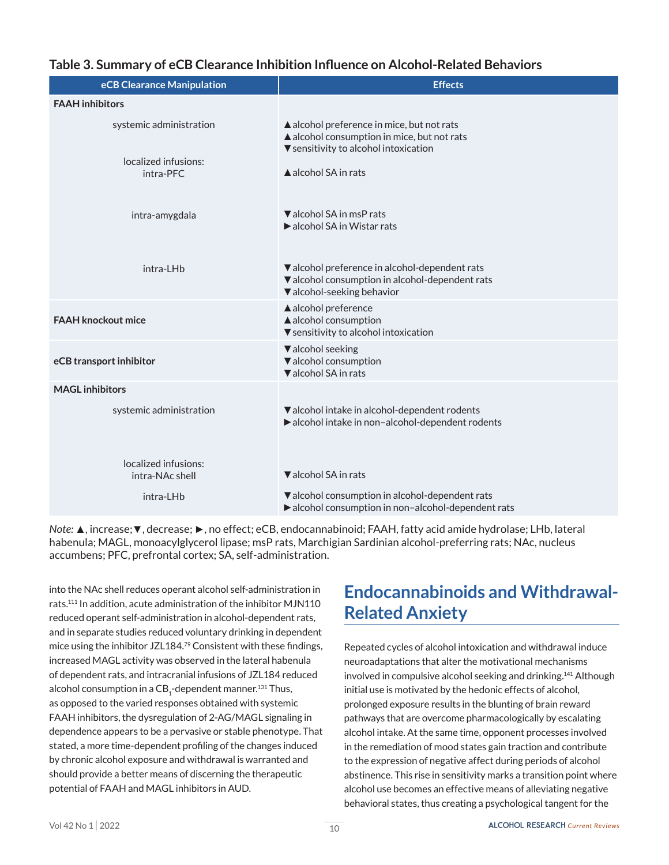|  |  |  | Table 3. Summary of eCB Clearance Inhibition Influence on Alcohol-Related Behaviors |
|--|--|--|-------------------------------------------------------------------------------------|
|--|--|--|-------------------------------------------------------------------------------------|

| eCB Clearance Manipulation              | <b>Effects</b>                                                                                                                     |
|-----------------------------------------|------------------------------------------------------------------------------------------------------------------------------------|
| <b>FAAH</b> inhibitors                  |                                                                                                                                    |
| systemic administration                 | ▲ alcohol preference in mice, but not rats<br>▲ alcohol consumption in mice, but not rats<br>▼ sensitivity to alcohol intoxication |
| localized infusions:<br>intra-PFC       | A alcohol SA in rats                                                                                                               |
| intra-amygdala                          | ▼ alcohol SA in msP rats<br>$\blacktriangleright$ alcohol SA in Wistar rats                                                        |
| intra-LHb                               | Valcohol preference in alcohol-dependent rats<br>valcohol consumption in alcohol-dependent rats<br>▼ alcohol-seeking behavior      |
| <b>FAAH knockout mice</b>               | ▲ alcohol preference<br>▲ alcohol consumption<br>▼ sensitivity to alcohol intoxication                                             |
| eCB transport inhibitor                 | valcohol seeking<br>valcohol consumption<br>valcohol SA in rats                                                                    |
| <b>MAGL</b> inhibitors                  |                                                                                                                                    |
| systemic administration                 | ▼ alcohol intake in alcohol-dependent rodents<br>alcohol intake in non-alcohol-dependent rodents                                   |
| localized infusions:<br>intra-NAc shell | ▼ alcohol SA in rats                                                                                                               |
| intra-LHb                               | valcohol consumption in alcohol-dependent rats<br>alcohol consumption in non-alcohol-dependent rats                                |

*Note:* ▲, increase;▼, decrease; ►, no effect; eCB, endocannabinoid; FAAH, fatty acid amide hydrolase; LHb, lateral habenula; MAGL, monoacylglycerol lipase; msP rats, Marchigian Sardinian alcohol-preferring rats; NAc, nucleus accumbens; PFC, prefrontal cortex; SA, self-administration.

into the NAc shell reduces operant alcohol self-administration in rats.111 In addition, acute administration of the inhibitor MJN110 reduced operant self-administration in alcohol-dependent rats, and in separate studies reduced voluntary drinking in dependent mice using the inhibitor JZL184.79 Consistent with these findings, increased MAGL activity was observed in the lateral habenula of dependent rats, and intracranial infusions of JZL184 reduced alcohol consumption in a  $\text{CB}_\text{1}$ -dependent manner. $^\text{131}$ Thus, as opposed to the varied responses obtained with systemic FAAH inhibitors, the dysregulation of 2-AG/MAGL signaling in dependence appears to be a pervasive or stable phenotype. That stated, a more time-dependent profiling of the changes induced by chronic alcohol exposure and withdrawal is warranted and should provide a better means of discerning the therapeutic potential of FAAH and MAGL inhibitors in AUD.

## **Endocannabinoids and Withdrawal-Related Anxiety**

Repeated cycles of alcohol intoxication and withdrawal induce neuroadaptations that alter the motivational mechanisms involved in compulsive alcohol seeking and drinking.141 Although initial use is motivated by the hedonic effects of alcohol, prolonged exposure results in the blunting of brain reward pathways that are overcome pharmacologically by escalating alcohol intake. At the same time, opponent processes involved in the remediation of mood states gain traction and contribute to the expression of negative affect during periods of alcohol abstinence. This rise in sensitivity marks a transition point where alcohol use becomes an effective means of alleviating negative behavioral states, thus creating a psychological tangent for the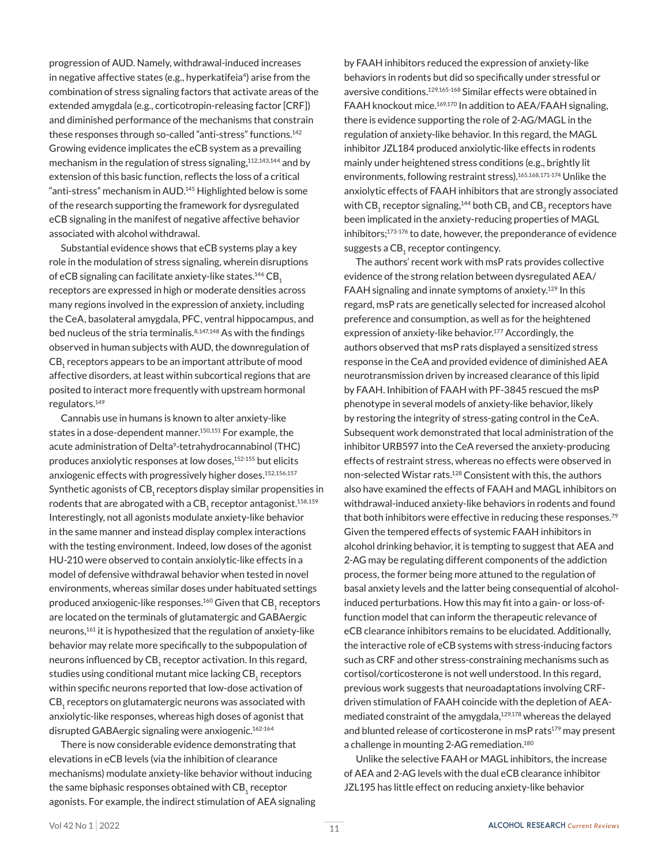progression of AUD. Namely, withdrawal-induced increases in negative affective states (e.g., hyperkatifeia<sup>4</sup>) arise from the combination of stress signaling factors that activate areas of the extended amygdala (e.g., corticotropin-releasing factor [CRF]) and diminished performance of the mechanisms that constrain these responses through so-called "anti-stress" functions.<sup>142</sup> Growing evidence implicates the eCB system as a prevailing mechanism in the regulation of stress signaling,<sup>112,143,144</sup> and by extension of this basic function, reflects the loss of a critical "anti-stress" mechanism in AUD.<sup>145</sup> Highlighted below is some of the research supporting the framework for dysregulated eCB signaling in the manifest of negative affective behavior associated with alcohol withdrawal.

Substantial evidence shows that eCB systems play a key role in the modulation of stress signaling, wherein disruptions of eCB signaling can facilitate anxiety-like states.<sup>146</sup> CB<sub>1</sub> receptors are expressed in high or moderate densities across many regions involved in the expression of anxiety, including the CeA, basolateral amygdala, PFC, ventral hippocampus, and bed nucleus of the stria terminalis.<sup>8,147,148</sup> As with the findings observed in human subjects with AUD, the downregulation of CB<sub>1</sub> receptors appears to be an important attribute of mood affective disorders, at least within subcortical regions that are posited to interact more frequently with upstream hormonal regulators.149

Cannabis use in humans is known to alter anxiety-like states in a dose-dependent manner.<sup>150,151</sup> For example, the acute administration of Delta<sup>9</sup>-tetrahydrocannabinol (THC) produces anxiolytic responses at low doses,<sup>152-155</sup> but elicits anxiogenic effects with progressively higher doses.<sup>152,156,157</sup> Synthetic agonists of CB<sub>1</sub> receptors display similar propensities in rodents that are abrogated with a  $CB<sub>4</sub>$  receptor antagonist.<sup>158,159</sup> Interestingly, not all agonists modulate anxiety-like behavior in the same manner and instead display complex interactions with the testing environment. Indeed, low doses of the agonist HU-210 were observed to contain anxiolytic-like effects in a model of defensive withdrawal behavior when tested in novel environments, whereas similar doses under habituated settings produced anxiogenic-like responses.<sup>160</sup> Given that CB<sub>1</sub> receptors are located on the terminals of glutamatergic and GABAergic neurons,161 it is hypothesized that the regulation of anxiety-like behavior may relate more specifically to the subpopulation of neurons influenced by  $CB_1$  receptor activation. In this regard, studies using conditional mutant mice lacking CB<sub>1</sub> receptors within specific neurons reported that low-dose activation of  $CB<sub>1</sub>$  receptors on glutamatergic neurons was associated with anxiolytic-like responses, whereas high doses of agonist that disrupted GABAergic signaling were anxiogenic.<sup>162-164</sup>

There is now considerable evidence demonstrating that elevations in eCB levels (via the inhibition of clearance mechanisms) modulate anxiety-like behavior without inducing the same biphasic responses obtained with  $CB<sub>1</sub>$  receptor agonists. For example, the indirect stimulation of AEA signaling by FAAH inhibitors reduced the expression of anxiety-like behaviors in rodents but did so specifically under stressful or aversive conditions.129,165-168 Similar effects were obtained in FAAH knockout mice.<sup>169,170</sup> In addition to AEA/FAAH signaling, there is evidence supporting the role of 2-AG/MAGL in the regulation of anxiety-like behavior. In this regard, the MAGL inhibitor JZL184 produced anxiolytic-like effects in rodents mainly under heightened stress conditions (e.g., brightly lit environments, following restraint stress).165,168,171-174 Unlike the anxiolytic effects of FAAH inhibitors that are strongly associated with CB<sub>1</sub> receptor signaling,<sup>144</sup> both CB<sub>1</sub> and CB<sub>2</sub> receptors have been implicated in the anxiety-reducing properties of MAGL inhibitors;<sup>173-176</sup> to date, however, the preponderance of evidence suggests a CB<sub>1</sub> receptor contingency.

The authors' recent work with msP rats provides collective evidence of the strong relation between dysregulated AEA/ FAAH signaling and innate symptoms of anxiety.129 In this regard, msP rats are genetically selected for increased alcohol preference and consumption, as well as for the heightened expression of anxiety-like behavior.177 Accordingly, the authors observed that msP rats displayed a sensitized stress response in the CeA and provided evidence of diminished AEA neurotransmission driven by increased clearance of this lipid by FAAH. Inhibition of FAAH with PF-3845 rescued the msP phenotype in several models of anxiety-like behavior, likely by restoring the integrity of stress-gating control in the CeA. Subsequent work demonstrated that local administration of the inhibitor URB597 into the CeA reversed the anxiety-producing effects of restraint stress, whereas no effects were observed in non-selected Wistar rats.128 Consistent with this, the authors also have examined the effects of FAAH and MAGL inhibitors on withdrawal-induced anxiety-like behaviors in rodents and found that both inhibitors were effective in reducing these responses.<sup>79</sup> Given the tempered effects of systemic FAAH inhibitors in alcohol drinking behavior, it is tempting to suggest that AEA and 2-AG may be regulating different components of the addiction process, the former being more attuned to the regulation of basal anxiety levels and the latter being consequential of alcoholinduced perturbations. How this may fit into a gain- or loss-offunction model that can inform the therapeutic relevance of eCB clearance inhibitors remains to be elucidated. Additionally, the interactive role of eCB systems with stress-inducing factors such as CRF and other stress-constraining mechanisms such as cortisol/corticosterone is not well understood. In this regard, previous work suggests that neuroadaptations involving CRFdriven stimulation of FAAH coincide with the depletion of AEAmediated constraint of the amygdala,<sup>129,178</sup> whereas the delayed and blunted release of corticosterone in msP rats<sup>179</sup> may present a challenge in mounting 2-AG remediation.<sup>180</sup>

Unlike the selective FAAH or MAGL inhibitors, the increase of AEA and 2-AG levels with the dual eCB clearance inhibitor JZL195 has little effect on reducing anxiety-like behavior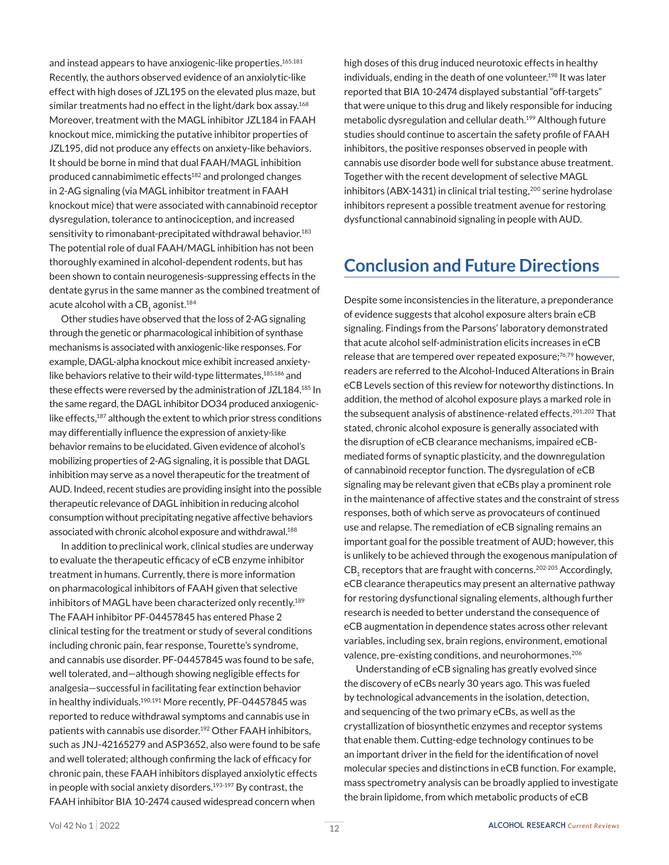and instead appears to have anxiogenic-like properties.<sup>165,181</sup> Recently, the authors observed evidence of an anxiolytic-like effect with high doses of JZL195 on the elevated plus maze, but similar treatments had no effect in the light/dark box assay.<sup>168</sup> Moreover, treatment with the MAGL inhibitor JZL184 in FAAH knockout mice, mimicking the putative inhibitor properties of JZL195, did not produce any effects on anxiety-like behaviors. It should be borne in mind that dual FAAH/MAGL inhibition produced cannabimimetic effects<sup>182</sup> and prolonged changes in 2-AG signaling (via MAGL inhibitor treatment in FAAH knockout mice) that were associated with cannabinoid receptor dysregulation, tolerance to antinociception, and increased sensitivity to rimonabant-precipitated withdrawal behavior.<sup>183</sup> The potential role of dual FAAH/MAGL inhibition has not been thoroughly examined in alcohol-dependent rodents, but has been shown to contain neurogenesis-suppressing effects in the dentate gyrus in the same manner as the combined treatment of acute alcohol with a  $CB$ <sub>1</sub> agonist.<sup>184</sup>

Other studies have observed that the loss of 2-AG signaling through the genetic or pharmacological inhibition of synthase mechanisms is associated with anxiogenic-like responses. For example, DAGL-alpha knockout mice exhibit increased anxietylike behaviors relative to their wild-type littermates,<sup>185,186</sup> and these effects were reversed by the administration of JZL184.185 In the same regard, the DAGL inhibitor DO34 produced anxiogeniclike effects,<sup>187</sup> although the extent to which prior stress conditions may differentially influence the expression of anxiety-like behavior remains to be elucidated. Given evidence of alcohol's mobilizing properties of 2-AG signaling, it is possible that DAGL inhibition may serve as a novel therapeutic for the treatment of AUD. Indeed, recent studies are providing insight into the possible therapeutic relevance of DAGL inhibition in reducing alcohol consumption without precipitating negative affective behaviors associated with chronic alcohol exposure and withdrawal.<sup>188</sup>

In addition to preclinical work, clinical studies are underway to evaluate the therapeutic efficacy of eCB enzyme inhibitor treatment in humans. Currently, there is more information on pharmacological inhibitors of FAAH given that selective inhibitors of MAGL have been characterized only recently.<sup>189</sup> The FAAH inhibitor PF-04457845 has entered Phase 2 clinical testing for the treatment or study of several conditions including chronic pain, fear response, Tourette's syndrome, and cannabis use disorder. PF-04457845 was found to be safe, well tolerated, and—although showing negligible effects for analgesia—successful in facilitating fear extinction behavior in healthy individuals.<sup>190,191</sup> More recently, PF-04457845 was reported to reduce withdrawal symptoms and cannabis use in patients with cannabis use disorder.192 Other FAAH inhibitors, such as JNJ-42165279 and ASP3652, also were found to be safe and well tolerated; although confirming the lack of efficacy for chronic pain, these FAAH inhibitors displayed anxiolytic effects in people with social anxiety disorders. $193-197$  By contrast, the FAAH inhibitor BIA 10-2474 caused widespread concern when

high doses of this drug induced neurotoxic effects in healthy individuals, ending in the death of one volunteer.<sup>198</sup> It was later reported that BIA 10-2474 displayed substantial "off-targets" that were unique to this drug and likely responsible for inducing metabolic dysregulation and cellular death.199 Although future studies should continue to ascertain the safety profile of FAAH inhibitors, the positive responses observed in people with cannabis use disorder bode well for substance abuse treatment. Together with the recent development of selective MAGL inhibitors (ABX-1431) in clinical trial testing, <sup>200</sup> serine hydrolase inhibitors represent a possible treatment avenue for restoring dysfunctional cannabinoid signaling in people with AUD.

### **Conclusion and Future Directions**

Despite some inconsistencies in the literature, a preponderance of evidence suggests that alcohol exposure alters brain eCB signaling. Findings from the Parsons' laboratory demonstrated that acute alcohol self-administration elicits increases in eCB release that are tempered over repeated exposure;<sup>76,79</sup> however, readers are referred to the Alcohol-Induced Alterations in Brain eCB Levels section of this review for noteworthy distinctions. In addition, the method of alcohol exposure plays a marked role in the subsequent analysis of abstinence-related effects.<sup>201,202</sup> That stated, chronic alcohol exposure is generally associated with the disruption of eCB clearance mechanisms, impaired eCBmediated forms of synaptic plasticity, and the downregulation of cannabinoid receptor function. The dysregulation of eCB signaling may be relevant given that eCBs play a prominent role in the maintenance of affective states and the constraint of stress responses, both of which serve as provocateurs of continued use and relapse. The remediation of eCB signaling remains an important goal for the possible treatment of AUD; however, this is unlikely to be achieved through the exogenous manipulation of  $CB_1$  receptors that are fraught with concerns.<sup>202-205</sup> Accordingly, eCB clearance therapeutics may present an alternative pathway for restoring dysfunctional signaling elements, although further research is needed to better understand the consequence of eCB augmentation in dependence states across other relevant variables, including sex, brain regions, environment, emotional valence, pre-existing conditions, and neurohormones.<sup>206</sup>

Understanding of eCB signaling has greatly evolved since the discovery of eCBs nearly 30 years ago. This was fueled by technological advancements in the isolation, detection, and sequencing of the two primary eCBs, as well as the crystallization of biosynthetic enzymes and receptor systems that enable them. Cutting-edge technology continues to be an important driver in the field for the identification of novel molecular species and distinctions in eCB function. For example, mass spectrometry analysis can be broadly applied to investigate the brain lipidome, from which metabolic products of eCB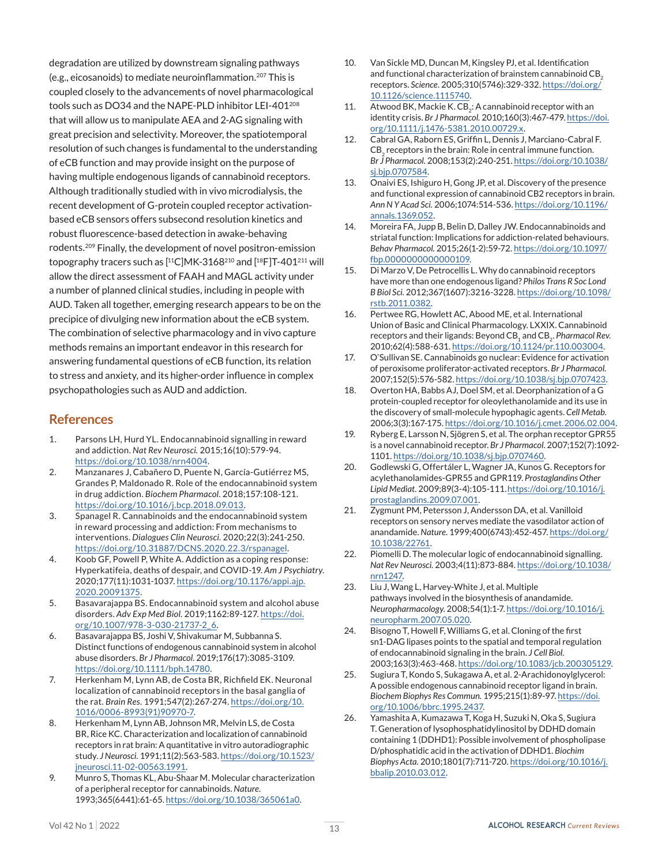degradation are utilized by downstream signaling pathways (e.g., eicosanoids) to mediate neuroinflammation.207 This is coupled closely to the advancements of novel pharmacological tools such as DO34 and the NAPE-PLD inhibitor LEI-401<sup>208</sup> that will allow us to manipulate AEA and 2-AG signaling with great precision and selectivity. Moreover, the spatiotemporal resolution of such changes is fundamental to the understanding of eCB function and may provide insight on the purpose of having multiple endogenous ligands of cannabinoid receptors. Although traditionally studied with in vivo microdialysis, the recent development of G-protein coupled receptor activationbased eCB sensors offers subsecond resolution kinetics and robust fluorescence-based detection in awake-behaving rodents.209 Finally, the development of novel positron-emission topography tracers such as  $[$ <sup>11</sup>C]MK-3168<sup>210</sup> and  $[$ <sup>18</sup>F]T-401<sup>211</sup> will allow the direct assessment of FAAH and MAGL activity under a number of planned clinical studies, including in people with AUD. Taken all together, emerging research appears to be on the precipice of divulging new information about the eCB system. The combination of selective pharmacology and in vivo capture methods remains an important endeavor in this research for answering fundamental questions of eCB function, its relation to stress and anxiety, and its higher-order influence in complex psychopathologies such as AUD and addiction.

### **References**

- 1. Parsons LH, Hurd YL. Endocannabinoid signalling in reward and addiction. *Nat Rev Neurosci.* 2015;16(10):579-94. <https://doi.org/10.1038/nrn4004>.
- 2. Manzanares J, Cabañero D, Puente N, García-Gutiérrez MS, Grandes P, Maldonado R. Role of the endocannabinoid system in drug addiction. *Biochem Pharmacol.* 2018;157:108-121. <https://doi.org/10.1016/j.bcp.2018.09.013>.
- 3. Spanagel R. Cannabinoids and the endocannabinoid system in reward processing and addiction: From mechanisms to interventions. *Dialogues Clin Neurosci.* 2020;22(3):241-250. <https://doi.org/10.31887/DCNS.2020.22.3/rspanagel>.
- 4. Koob GF, Powell P, White A. Addiction as a coping response: Hyperkatifeia, deaths of despair, and COVID-19. *Am J Psychiatry.* 2020;177(11):1031-1037. [https://doi.org/10.1176/appi.ajp.](https://doi.org/10.1176/appi.ajp.2020.20091375) [2020.20091375](https://doi.org/10.1176/appi.ajp.2020.20091375).
- 5. Basavarajappa BS. Endocannabinoid system and alcohol abuse disorders. *Adv Exp Med Biol.* 2019;1162:89-127. [https://doi.](https://doi.org/10.1007/978-3-030-21737-2_6) [org/10.1007/978-3-030-21737-2\\_6](https://doi.org/10.1007/978-3-030-21737-2_6).
- 6. Basavarajappa BS, Joshi V, Shivakumar M, Subbanna S. Distinct functions of endogenous cannabinoid system in alcohol abuse disorders. *Br J Pharmacol.* 2019;176(17):3085-3109. <https://doi.org/10.1111/bph.14780>.
- 7. Herkenham M, Lynn AB, de Costa BR, Richfield EK. Neuronal localization of cannabinoid receptors in the basal ganglia of the rat. *Brain Res.* 1991;547(2):267-274. [https://doi.org/10.](https://doi.org/10.1016/0006-8993(91)90970-7) [1016/0006-8993\(91\)90970-7](https://doi.org/10.1016/0006-8993(91)90970-7).
- 8. Herkenham M, Lynn AB, Johnson MR, Melvin LS, de Costa BR, Rice KC. Characterization and localization of cannabinoid receptors in rat brain: A quantitative in vitro autoradiographic study. *J Neurosci.* 1991;11(2):563-583. [https://doi.org/10.1523/](https://doi.org/10.1523/jneurosci.11-02-00563.1991) [jneurosci.11-02-00563.1991](https://doi.org/10.1523/jneurosci.11-02-00563.1991).
- 9. Munro S, Thomas KL, Abu-Shaar M. Molecular characterization of a peripheral receptor for cannabinoids. *Nature.* 1993;365(6441):61-65.<https://doi.org/10.1038/365061a0>.
- 10. Van Sickle MD, Duncan M, Kingsley PJ, et al. Identification and functional characterization of brainstem cannabinoid  $CB$ <sub>2</sub> receptors. *Science.* 2005;310(5746):329-332. [https://doi.org/](https://doi.org/10.1126/science.1115740) [10.1126/science.1115740.](https://doi.org/10.1126/science.1115740)
- 11. Atwood BK, Mackie K. CB<sub>2</sub>: A cannabinoid receptor with an identity crisis. *Br J Pharmacol.* 2010;160(3):467-479. [https://doi.](https://doi.org/10.1111/j.1476-5381.2010.00729.x) [org/10.1111/j.1476-5381.2010.00729.x](https://doi.org/10.1111/j.1476-5381.2010.00729.x).
- 12. Cabral GA, Raborn ES, Griffin L, Dennis J, Marciano-Cabral F. CB<sub>2</sub> receptors in the brain: Role in central immune function. *Br J Pharmacol.* 2008;153(2):240-251. [https://doi.org/10.1038/](https://doi.org/10.1038/sj.bjp.0707584) [sj.bjp.0707584](https://doi.org/10.1038/sj.bjp.0707584).
- 13. Onaivi ES, Ishiguro H, Gong JP, et al. Discovery of the presence and functional expression of cannabinoid CB2 receptors in brain. *Ann N Y Acad Sci.* 2006;1074:514-536. [https://doi.org/10.1196/](https://doi.org/10.1196/annals.1369.052) [annals.1369.052.](https://doi.org/10.1196/annals.1369.052)
- 14. Moreira FA, Jupp B, Belin D, Dalley JW. Endocannabinoids and striatal function: Implications for addiction-related behaviours. *Behav Pharmacol.* 2015;26(1-2):59-72. [https://doi.org/10.1097/](https://doi.org/10.1097/fbp.0000000000000109) [fbp.0000000000000109.](https://doi.org/10.1097/fbp.0000000000000109)
- 15. Di Marzo V, De Petrocellis L. Why do cannabinoid receptors have more than one endogenous ligand? *Philos Trans R Soc Lond B Biol Sci.* 2012;367(1607):3216-3228. [https://doi.org/10.1098/](https://doi.org/10.1098/rstb.2011.0382) [rstb.2011.0382](https://doi.org/10.1098/rstb.2011.0382).
- 16. Pertwee RG, Howlett AC, Abood ME, et al. International Union of Basic and Clinical Pharmacology. LXXIX. Cannabinoid receptors and their ligands: Beyond CB<sub>1</sub> and CB<sub>2</sub>. *Pharmacol Rev.* 2010;62(4):588-631.<https://doi.org/10.1124/pr.110.003004>.
- 17. O'Sullivan SE. Cannabinoids go nuclear: Evidence for activation of peroxisome proliferator-activated receptors. *Br J Pharmacol.* 2007;152(5):576-582. <https://doi.org/10.1038/sj.bjp.0707423>.
- 18. Overton HA, Babbs AJ, Doel SM, et al. Deorphanization of a G protein-coupled receptor for oleoylethanolamide and its use in the discovery of small-molecule hypophagic agents. *Cell Metab.* 2006;3(3):167-175. <https://doi.org/10.1016/j.cmet.2006.02.004>.
- 19. Ryberg E, Larsson N, Sjögren S, et al. The orphan receptor GPR55 is a novel cannabinoid receptor. *Br J Pharmacol.* 2007;152(7):1092- 1101. <https://doi.org/10.1038/sj.bjp.0707460>.
- 20. Godlewski G, Offertáler L, Wagner JA, Kunos G. Receptors for acylethanolamides-GPR55 and GPR119. *Prostaglandins Other Lipid Mediat.* 2009;89(3-4):105-111. [https://doi.org/10.1016/j.](https://doi.org/10.1016/j.prostaglandins.2009.07.001) [prostaglandins.2009.07.001.](https://doi.org/10.1016/j.prostaglandins.2009.07.001)
- 21. Zygmunt PM, Petersson J, Andersson DA, et al. Vanilloid receptors on sensory nerves mediate the vasodilator action of anandamide. *Nature.* 1999;400(6743):452-457. [https://doi.org/](https://doi.org/10.1038/22761) [10.1038/22761.](https://doi.org/10.1038/22761)
- 22. Piomelli D. The molecular logic of endocannabinoid signalling. *Nat Rev Neurosci.* 2003;4(11):873-884. [https://doi.org/10.1038/](https://doi.org/10.1038/nrn1247) [nrn1247](https://doi.org/10.1038/nrn1247).
- 23. Liu J, Wang L, Harvey-White J, et al. Multiple pathways involved in the biosynthesis of anandamide. *Neuropharmacology.* 2008;54(1):1-7. [https://doi.org/10.1016/j.](https://doi.org/10.1016/j.neuropharm.2007.05.020) [neuropharm.2007.05.020](https://doi.org/10.1016/j.neuropharm.2007.05.020).
- 24. Bisogno T, Howell F, Williams G, et al. Cloning of the first sn1-DAG lipases points to the spatial and temporal regulation of endocannabinoid signaling in the brain. *J Cell Biol.* 2003;163(3):463-468. <https://doi.org/10.1083/jcb.200305129>.
- 25. Sugiura T, Kondo S, Sukagawa A, et al. 2-Arachidonoylglycerol: A possible endogenous cannabinoid receptor ligand in brain. *Biochem Biophys Res Commun.* 1995;215(1):89-97. [https://doi.](https://doi.org/10.1006/bbrc.1995.2437) [org/10.1006/bbrc.1995.2437](https://doi.org/10.1006/bbrc.1995.2437).
- 26. Yamashita A, Kumazawa T, Koga H, Suzuki N, Oka S, Sugiura T. Generation of lysophosphatidylinositol by DDHD domain containing 1 (DDHD1): Possible involvement of phospholipase D/phosphatidic acid in the activation of DDHD1. *Biochim Biophys Acta.* 2010;1801(7):711-720. [https://doi.org/10.1016/j.](https://doi.org/10.1016/j.bbalip.2010.03.012) [bbalip.2010.03.012](https://doi.org/10.1016/j.bbalip.2010.03.012).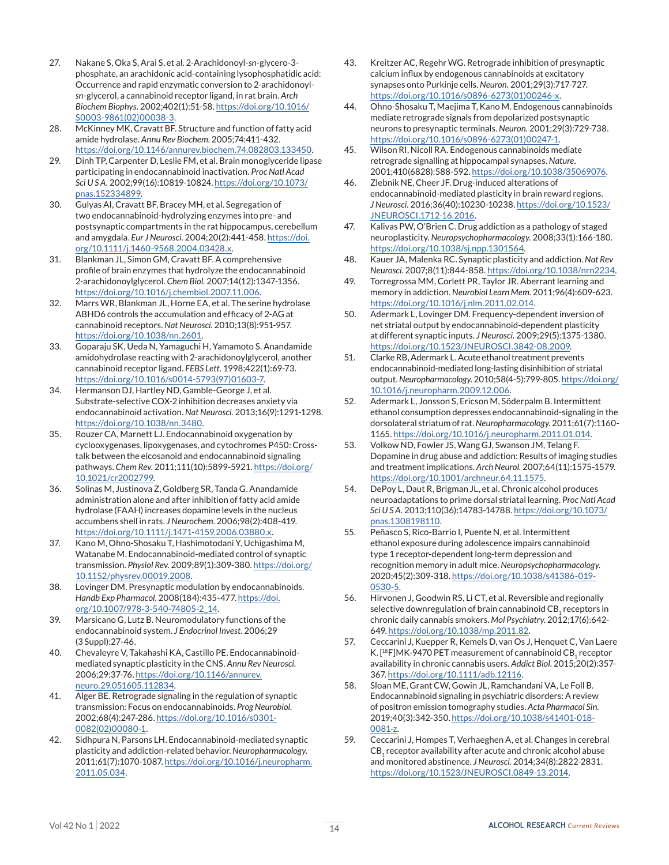- 27. Nakane S, Oka S, Arai S, et al. 2-Arachidonoyl-*sn*-glycero-3 phosphate, an arachidonic acid-containing lysophosphatidic acid: Occurrence and rapid enzymatic conversion to 2-arachidonoyl*sn*-glycerol, a cannabinoid receptor ligand, in rat brain. *Arch Biochem Biophys.* 2002;402(1):51-58. [https://doi.org/10.1016/](https://doi.org/10.1016/S0003-9861(02)00038-3) [S0003-9861\(02\)00038-3.](https://doi.org/10.1016/S0003-9861(02)00038-3)
- 28. McKinney MK, Cravatt BF. Structure and function of fatty acid amide hydrolase. *Annu Rev Biochem.* 2005;74:411-432. <https://doi.org/10.1146/annurev.biochem.74.082803.133450>.
- 29. Dinh TP, Carpenter D, Leslie FM, et al. Brain monoglyceride lipase participating in endocannabinoid inactivation. *Proc Natl Acad Sci U S A.* 2002;99(16):10819-10824. [https://doi.org/10.1073/](https://doi.org/10.1073/pnas.152334899) [pnas.152334899.](https://doi.org/10.1073/pnas.152334899)
- 30. Gulyas AI, Cravatt BF, Bracey MH, et al. Segregation of two endocannabinoid-hydrolyzing enzymes into pre- and postsynaptic compartments in the rat hippocampus, cerebellum and amygdala. *Eur J Neurosci.* 2004;20(2):441-458. [https://doi.](https://doi.org/10.1111/j.1460-9568.2004.03428.x) [org/10.1111/j.1460-9568.2004.03428.x](https://doi.org/10.1111/j.1460-9568.2004.03428.x).
- 31. Blankman JL, Simon GM, Cravatt BF. A comprehensive profile of brain enzymes that hydrolyze the endocannabinoid 2-arachidonoylglycerol. *Chem Biol.* 2007;14(12):1347-1356. <https://doi.org/10.1016/j.chembiol.2007.11.006>.
- 32. Marrs WR, Blankman JL, Horne EA, et al. The serine hydrolase ABHD6 controls the accumulation and efficacy of 2-AG at cannabinoid receptors. *Nat Neurosci.* 2010;13(8):951-957. [https://doi.org/10.1038/nn.2601.](https://doi.org/10.1038/nn.2601)
- 33. Goparaju SK, Ueda N, Yamaguchi H, Yamamoto S. Anandamide amidohydrolase reacting with 2-arachidonoylglycerol, another cannabinoid receptor ligand. *FEBS Lett.* 1998;422(1):69-73. [https://doi.org/10.1016/s0014-5793\(97\)01603-7](https://doi.org/10.1016/s0014-5793(97)01603-7).
- 34. Hermanson DJ, Hartley ND, Gamble-George J, et al. Substrate-selective COX-2 inhibition decreases anxiety via endocannabinoid activation. *Nat Neurosci.* 2013;16(9):1291-1298. <https://doi.org/10.1038/nn.3480>.
- 35. Rouzer CA, Marnett LJ. Endocannabinoid oxygenation by cyclooxygenases, lipoxygenases, and cytochromes P450: Crosstalk between the eicosanoid and endocannabinoid signaling pathways. *Chem Rev.* 2011;111(10):5899-5921. [https://doi.org/](https://doi.org/10.1021/cr2002799) [10.1021/cr2002799](https://doi.org/10.1021/cr2002799).
- 36. Solinas M, Justinova Z, Goldberg SR, Tanda G. Anandamide administration alone and after inhibition of fatty acid amide hydrolase (FAAH) increases dopamine levels in the nucleus accumbens shell in rats. *J Neurochem.* 2006;98(2):408-419. <https://doi.org/10.1111/j.1471-4159.2006.03880.x>.
- 37. Kano M, Ohno-Shosaku T, Hashimotodani Y, Uchigashima M, Watanabe M. Endocannabinoid-mediated control of synaptic transmission. *Physiol Rev.* 2009;89(1):309-380. [https://doi.org/](https://doi.org/10.1152/physrev.00019.2008) [10.1152/physrev.00019.2008.](https://doi.org/10.1152/physrev.00019.2008)
- 38. Lovinger DM. Presynaptic modulation by endocannabinoids. *Handb Exp Pharmacol.* 2008(184):435-477. [https://doi.](https://doi.org/10.1007/978-3-540-74805-2_14) [org/10.1007/978-3-540-74805-2\\_14](https://doi.org/10.1007/978-3-540-74805-2_14).
- 39. Marsicano G, Lutz B. Neuromodulatory functions of the endocannabinoid system. *J Endocrinol Invest.* 2006;29 (3 Suppl):27-46.
- 40. Chevaleyre V, Takahashi KA, Castillo PE. Endocannabinoidmediated synaptic plasticity in the CNS. *Annu Rev Neurosci.* 2006;29:37-76. [https://doi.org/10.1146/annurev.](https://doi.org/10.1146/annurev.neuro.29.051605.112834) [neuro.29.051605.112834](https://doi.org/10.1146/annurev.neuro.29.051605.112834).
- 41. Alger BE. Retrograde signaling in the regulation of synaptic transmission: Focus on endocannabinoids. *Prog Neurobiol.* 2002;68(4):247-286. [https://doi.org/10.1016/s0301-](https://doi.org/10.1016/s0301-0082(02)00080-1) [0082\(02\)00080-1.](https://doi.org/10.1016/s0301-0082(02)00080-1)
- 42. Sidhpura N, Parsons LH. Endocannabinoid-mediated synaptic plasticity and addiction-related behavior. *Neuropharmacology.* 2011;61(7):1070-1087. [https://doi.org/10.1016/j.neuropharm.](https://doi.org/10.1016/j.neuropharm.2011.05.034) [2011.05.034.](https://doi.org/10.1016/j.neuropharm.2011.05.034)
- 43. Kreitzer AC, Regehr WG. Retrograde inhibition of presynaptic calcium influx by endogenous cannabinoids at excitatory synapses onto Purkinje cells. *Neuron.* 2001;29(3):717-727. [https://doi.org/10.1016/s0896-6273\(01\)00246-x](https://doi.org/10.1016/s0896-6273(01)00246-x).
- 44. Ohno-Shosaku T, Maejima T, Kano M. Endogenous cannabinoids mediate retrograde signals from depolarized postsynaptic neurons to presynaptic terminals. *Neuron.* 2001;29(3):729-738. [https://doi.org/10.1016/s0896-6273\(01\)00247-1](https://doi.org/10.1016/s0896-6273(01)00247-1).
- 45. Wilson RI, Nicoll RA. Endogenous cannabinoids mediate retrograde signalling at hippocampal synapses. *Nature.* 2001;410(6828):588-592. [https://doi.org/10.1038/35069076.](https://doi.org/10.1038/35069076)
- 46. Zlebnik NE, Cheer JF. Drug-induced alterations of endocannabinoid-mediated plasticity in brain reward regions. *J Neurosci.* 2016;36(40):10230-10238. [https://doi.org/10.1523/](https://doi.org/10.1523/JNEUROSCI.1712-16.2016) [JNEUROSCI.1712-16.2016](https://doi.org/10.1523/JNEUROSCI.1712-16.2016).
- 47. Kalivas PW, O'Brien C. Drug addiction as a pathology of staged neuroplasticity. *Neuropsychopharmacology.* 2008;33(1):166-180. <https://doi.org/10.1038/sj.npp.1301564>.
- 48. Kauer JA, Malenka RC. Synaptic plasticity and addiction. *Nat Rev Neurosci.* 2007;8(11):844-858.<https://doi.org/10.1038/nrn2234>.
- 49. Torregrossa MM, Corlett PR, Taylor JR. Aberrant learning and memory in addiction. *Neurobiol Learn Mem.* 2011;96(4):609-623. <https://doi.org/10.1016/j.nlm.2011.02.014>.
- 50. Adermark L, Lovinger DM. Frequency-dependent inversion of net striatal output by endocannabinoid-dependent plasticity at different synaptic inputs. *J Neurosci.* 2009;29(5):1375-1380. <https://doi.org/10.1523/JNEUROSCI.3842-08.2009>.
- 51. Clarke RB, Adermark L. Acute ethanol treatment prevents endocannabinoid-mediated long-lasting disinhibition of striatal output. *Neuropharmacology.* 2010;58(4-5):799-805. [https://doi.org/](https://doi.org/10.1016/j.neuropharm.2009.12.006) [10.1016/j.neuropharm.2009.12.006](https://doi.org/10.1016/j.neuropharm.2009.12.006).
- 52. Adermark L, Jonsson S, Ericson M, Söderpalm B. Intermittent ethanol consumption depresses endocannabinoid-signaling in the dorsolateral striatum of rat. *Neuropharmacology.* 2011;61(7):1160- 1165. <https://doi.org/10.1016/j.neuropharm.2011.01.014>.
- 53. Volkow ND, Fowler JS, Wang GJ, Swanson JM, Telang F. Dopamine in drug abuse and addiction: Results of imaging studies and treatment implications. *Arch Neurol.* 2007;64(11):1575-1579. <https://doi.org/10.1001/archneur.64.11.1575>.
- 54. DePoy L, Daut R, Brigman JL, et al. Chronic alcohol produces neuroadaptations to prime dorsal striatal learning. *Proc Natl Acad Sci U S A.* 2013;110(36):14783-14788. [https://doi.org/10.1073/](https://doi.org/10.1073/pnas.1308198110) [pnas.1308198110.](https://doi.org/10.1073/pnas.1308198110)
- 55. Peñasco S, Rico-Barrio I, Puente N, et al. Intermittent ethanol exposure during adolescence impairs cannabinoid type 1 receptor-dependent long-term depression and recognition memory in adult mice. *Neuropsychopharmacology.* 2020;45(2):309-318. [https://doi.org/10.1038/s41386-019-](https://doi.org/10.1038/s41386-019-0530-5) [0530-5](https://doi.org/10.1038/s41386-019-0530-5).
- 56. Hirvonen J, Goodwin RS, Li CT, et al. Reversible and regionally selective downregulation of brain cannabinoid CB, receptors in chronic daily cannabis smokers. *Mol Psychiatry.* 2012;17(6):642- 649. <https://doi.org/10.1038/mp.2011.82>.
- 57. Ceccarini J, Kuepper R, Kemels D, van Os J, Henquet C, Van Laere K. [ $18$ F]MK-9470 PET measurement of cannabinoid CB<sub>1</sub> receptor availability in chronic cannabis users. *Addict Biol.* 2015;20(2):357- 367. [https://doi.org/10.1111/adb.12116.](https://doi.org/10.1111/adb.12116)
- 58. Sloan ME, Grant CW, Gowin JL, Ramchandani VA, Le Foll B. Endocannabinoid signaling in psychiatric disorders: A review of positron emission tomography studies. *Acta Pharmacol Sin.* 2019;40(3):342-350. [https://doi.org/10.1038/s41401-018-](https://doi.org/10.1038/s41401-018-0081-z) [0081-z.](https://doi.org/10.1038/s41401-018-0081-z)
- 59. Ceccarini J, Hompes T, Verhaeghen A, et al. Changes in cerebral  $CB<sub>1</sub>$  receptor availability after acute and chronic alcohol abuse and monitored abstinence. *J Neurosci.* 2014;34(8):2822-2831. <https://doi.org/10.1523/JNEUROSCI.0849-13.2014>.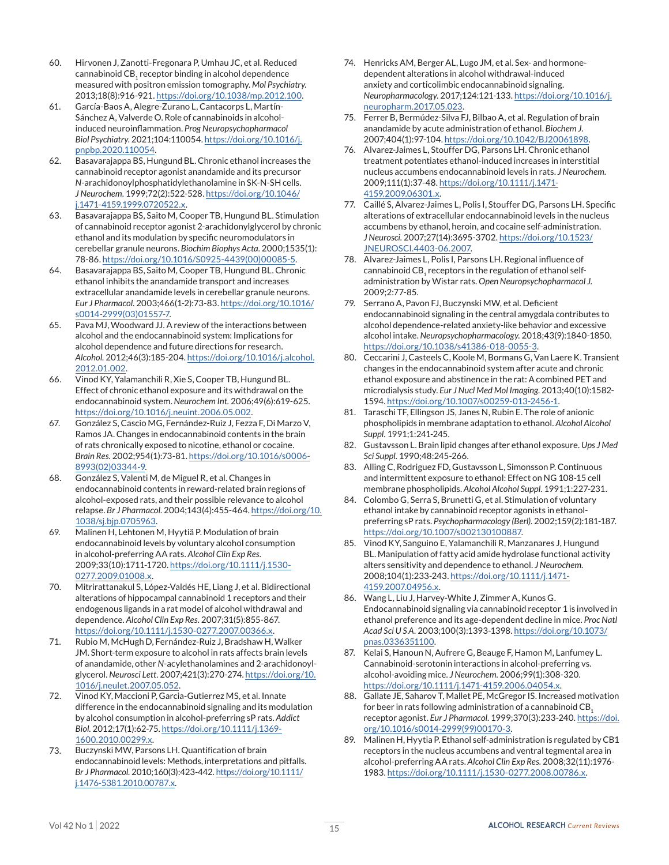- 60. Hirvonen J, Zanotti-Fregonara P, Umhau JC, et al. Reduced cannabinoid CB, receptor binding in alcohol dependence measured with positron emission tomography. *Mol Psychiatry.* 2013;18(8):916-921.<https://doi.org/10.1038/mp.2012.100>.
- 61. García-Baos A, Alegre-Zurano L, Cantacorps L, Martín-Sánchez A, Valverde O. Role of cannabinoids in alcoholinduced neuroinflammation. *Prog Neuropsychopharmacol Biol Psychiatry.* 2021;104:110054. [https://doi.org/10.1016/j.](https://doi.org/10.1016/j.pnpbp.2020.110054) [pnpbp.2020.110054.](https://doi.org/10.1016/j.pnpbp.2020.110054)
- 62. Basavarajappa BS, Hungund BL. Chronic ethanol increases the cannabinoid receptor agonist anandamide and its precursor *N*-arachidonoylphosphatidylethanolamine in SK-N-SH cells. *J Neurochem.* 1999;72(2):522-528. [https://doi.org/10.1046/](https://doi.org/10.1046/j.1471-4159.1999.0720522.x) [j.1471-4159.1999.0720522.x](https://doi.org/10.1046/j.1471-4159.1999.0720522.x).
- 63. Basavarajappa BS, Saito M, Cooper TB, Hungund BL. Stimulation of cannabinoid receptor agonist 2-arachidonylglycerol by chronic ethanol and its modulation by specific neuromodulators in cerebellar granule neurons. *Biochim Biophys Acta.* 2000;1535(1): 78-86. [https://doi.org/10.1016/S0925-4439\(00\)00085-5](https://doi.org/10.1016/S0925-4439(00)00085-5).
- 64. Basavarajappa BS, Saito M, Cooper TB, Hungund BL. Chronic ethanol inhibits the anandamide transport and increases extracellular anandamide levels in cerebellar granule neurons. *Eur J Pharmacol.* 2003;466(1-2):73-83. [https://doi.org/10.1016/](https://doi.org/10.1016/s0014-2999(03)01557-7) [s0014-2999\(03\)01557-7](https://doi.org/10.1016/s0014-2999(03)01557-7).
- 65. Pava MJ, Woodward JJ. A review of the interactions between alcohol and the endocannabinoid system: Implications for alcohol dependence and future directions for research. *Alcohol.* 2012;46(3):185-204. [https://doi.org/10.1016/j.alcohol.](https://doi.org/10.1016/j.alcohol.2012.01.002) [2012.01.002](https://doi.org/10.1016/j.alcohol.2012.01.002).
- 66. Vinod KY, Yalamanchili R, Xie S, Cooper TB, Hungund BL. Effect of chronic ethanol exposure and its withdrawal on the endocannabinoid system. *Neurochem Int.* 2006;49(6):619-625. <https://doi.org/10.1016/j.neuint.2006.05.002>.
- 67. González S, Cascio MG, Fernández-Ruiz J, Fezza F, Di Marzo V, Ramos JA. Changes in endocannabinoid contents in the brain of rats chronically exposed to nicotine, ethanol or cocaine. *Brain Res.* 2002;954(1):73-81. [https://doi.org/10.1016/s0006-](https://doi.org/10.1016/s0006-8993(02)03344-9) [8993\(02\)03344-9.](https://doi.org/10.1016/s0006-8993(02)03344-9)
- 68. González S, Valenti M, de Miguel R, et al. Changes in endocannabinoid contents in reward-related brain regions of alcohol-exposed rats, and their possible relevance to alcohol relapse. *Br J Pharmacol.* 2004;143(4):455-464. [https://doi.org/10.](https://doi.org/10.1038/sj.bjp.0705963) [1038/sj.bjp.0705963](https://doi.org/10.1038/sj.bjp.0705963).
- 69. Malinen H, Lehtonen M, Hyytiä P. Modulation of brain endocannabinoid levels by voluntary alcohol consumption in alcohol-preferring AA rats. *Alcohol Clin Exp Res.* 2009;33(10):1711-1720. [https://doi.org/10.1111/j.1530-](https://doi.org/10.1111/j.1530-0277.2009.01008.x) [0277.2009.01008.x.](https://doi.org/10.1111/j.1530-0277.2009.01008.x)
- 70. Mitrirattanakul S, López-Valdés HE, Liang J, et al. Bidirectional alterations of hippocampal cannabinoid 1 receptors and their endogenous ligands in a rat model of alcohol withdrawal and dependence. *Alcohol Clin Exp Res.* 2007;31(5):855-867. <https://doi.org/10.1111/j.1530-0277.2007.00366.x>.
- 71. Rubio M, McHugh D, Fernández-Ruiz J, Bradshaw H, Walker JM. Short-term exposure to alcohol in rats affects brain levels of anandamide, other *N*-acylethanolamines and 2-arachidonoylglycerol. *Neurosci Lett.* 2007;421(3):270-274. [https://doi.org/10.](https://doi.org/10.1016/j.neulet.2007.05.052) [1016/j.neulet.2007.05.052](https://doi.org/10.1016/j.neulet.2007.05.052).
- 72. Vinod KY, Maccioni P, Garcia-Gutierrez MS, et al. Innate difference in the endocannabinoid signaling and its modulation by alcohol consumption in alcohol-preferring sP rats. *Addict Biol.* 2012;17(1):62-75. [https://doi.org/10.1111/j.1369-](https://doi.org/10.1111/j.1369-1600.2010.00299.x) [1600.2010.00299.x](https://doi.org/10.1111/j.1369-1600.2010.00299.x).
- 73. Buczynski MW, Parsons LH. Quantification of brain endocannabinoid levels: Methods, interpretations and pitfalls. *Br J Pharmacol.* 2010;160(3):423-442. [https://doi.org/10.1111/](https://doi.org/10.1111/j.1476-5381.2010.00787.x) [j.1476-5381.2010.00787.x](https://doi.org/10.1111/j.1476-5381.2010.00787.x).
- 74. Henricks AM, Berger AL, Lugo JM, et al. Sex- and hormonedependent alterations in alcohol withdrawal-induced anxiety and corticolimbic endocannabinoid signaling. *Neuropharmacology.* 2017;124:121-133. [https://doi.org/10.1016/j.](https://doi.org/10.1016/j.neuropharm.2017.05.023) [neuropharm.2017.05.023.](https://doi.org/10.1016/j.neuropharm.2017.05.023)
- 75. Ferrer B, Bermúdez-Silva FJ, Bilbao A, et al. Regulation of brain anandamide by acute administration of ethanol. *Biochem J.* 2007;404(1):97-104. <https://doi.org/10.1042/BJ20061898>.
- 76. Alvarez-Jaimes L, Stouffer DG, Parsons LH. Chronic ethanol treatment potentiates ethanol-induced increases in interstitial nucleus accumbens endocannabinoid levels in rats. *J Neurochem.* 2009;111(1):37-48. [https://doi.org/10.1111/j.1471-](https://doi.org/10.1111/j.1471-4159.2009.06301.x) [4159.2009.06301.x](https://doi.org/10.1111/j.1471-4159.2009.06301.x).
- 77. Caillé S, Alvarez-Jaimes L, Polis I, Stouffer DG, Parsons LH. Specific alterations of extracellular endocannabinoid levels in the nucleus accumbens by ethanol, heroin, and cocaine self-administration. *J Neurosci.* 2007;27(14):3695-3702. [https://doi.org/10.1523/](https://doi.org/10.1523/JNEUROSCI.4403-06.2007) [JNEUROSCI.4403-06.2007](https://doi.org/10.1523/JNEUROSCI.4403-06.2007).
- 78. Alvarez-Jaimes L, Polis I, Parsons LH. Regional influence of cannabinoid CB<sub>1</sub> receptors in the regulation of ethanol selfadministration by Wistar rats. *Open Neuropsychopharmacol J.* 2009;2:77-85.
- 79. Serrano A, Pavon FJ, Buczynski MW, et al. Deficient endocannabinoid signaling in the central amygdala contributes to alcohol dependence-related anxiety-like behavior and excessive alcohol intake. *Neuropsychopharmacology.* 2018;43(9):1840-1850. [https://doi.org/10.1038/s41386-018-0055-3.](https://doi.org/10.1038/s41386-018-0055-3)
- 80. Ceccarini J, Casteels C, Koole M, Bormans G, Van Laere K. Transient changes in the endocannabinoid system after acute and chronic ethanol exposure and abstinence in the rat: A combined PET and microdialysis study. *Eur J Nucl Med Mol Imaging.* 2013;40(10):1582- 1594. [https://doi.org/10.1007/s00259-013-2456-1.](https://doi.org/10.1007/s00259-013-2456-1)
- 81. Taraschi TF, Ellingson JS, Janes N, Rubin E. The role of anionic phospholipids in membrane adaptation to ethanol. *Alcohol Alcohol Suppl.* 1991;1:241-245.
- 82. Gustavsson L. Brain lipid changes after ethanol exposure. *Ups J Med Sci Suppl.* 1990;48:245-266.
- 83. Alling C, Rodriguez FD, Gustavsson L, Simonsson P. Continuous and intermittent exposure to ethanol: Effect on NG 108-15 cell membrane phospholipids. *Alcohol Alcohol Suppl.* 1991;1:227-231.
- 84. Colombo G, Serra S, Brunetti G, et al. Stimulation of voluntary ethanol intake by cannabinoid receptor agonists in ethanolpreferring sP rats. *Psychopharmacology (Berl).* 2002;159(2):181-187. <https://doi.org/10.1007/s002130100887>.
- 85. Vinod KY, Sanguino E, Yalamanchili R, Manzanares J, Hungund BL. Manipulation of fatty acid amide hydrolase functional activity alters sensitivity and dependence to ethanol. *J Neurochem.* 2008;104(1):233-243. [https://doi.org/10.1111/j.1471-](https://doi.org/10.1111/j.1471-4159.2007.04956.x) [4159.2007.04956.x.](https://doi.org/10.1111/j.1471-4159.2007.04956.x)
- 86. Wang L, Liu J, Harvey-White J, Zimmer A, Kunos G. Endocannabinoid signaling via cannabinoid receptor 1 is involved in ethanol preference and its age-dependent decline in mice. *Proc Natl Acad Sci U S A.* 2003;100(3):1393-1398. [https://doi.org/10.1073/](https://doi.org/10.1073/pnas.0336351100) [pnas.0336351100.](https://doi.org/10.1073/pnas.0336351100)
- 87. Kelai S, Hanoun N, Aufrere G, Beauge F, Hamon M, Lanfumey L. Cannabinoid-serotonin interactions in alcohol-preferring vs. alcohol-avoiding mice. *J Neurochem.* 2006;99(1):308-320. <https://doi.org/10.1111/j.1471-4159.2006.04054.x>.
- 88. Gallate JE, Saharov T, Mallet PE, McGregor IS. Increased motivation for beer in rats following administration of a cannabinoid  $CB<sub>1</sub>$ receptor agonist. *Eur J Pharmacol.* 1999;370(3):233-240. [https://doi.](https://doi.org/10.1016/s0014-2999(99)00170-3) [org/10.1016/s0014-2999\(99\)00170-3.](https://doi.org/10.1016/s0014-2999(99)00170-3)
- 89. Malinen H, Hyytia P. Ethanol self-administration is regulated by CB1 receptors in the nucleus accumbens and ventral tegmental area in alcohol-preferring AA rats. *Alcohol Clin Exp Res.* 2008;32(11):1976- 1983. <https://doi.org/10.1111/j.1530-0277.2008.00786.x>.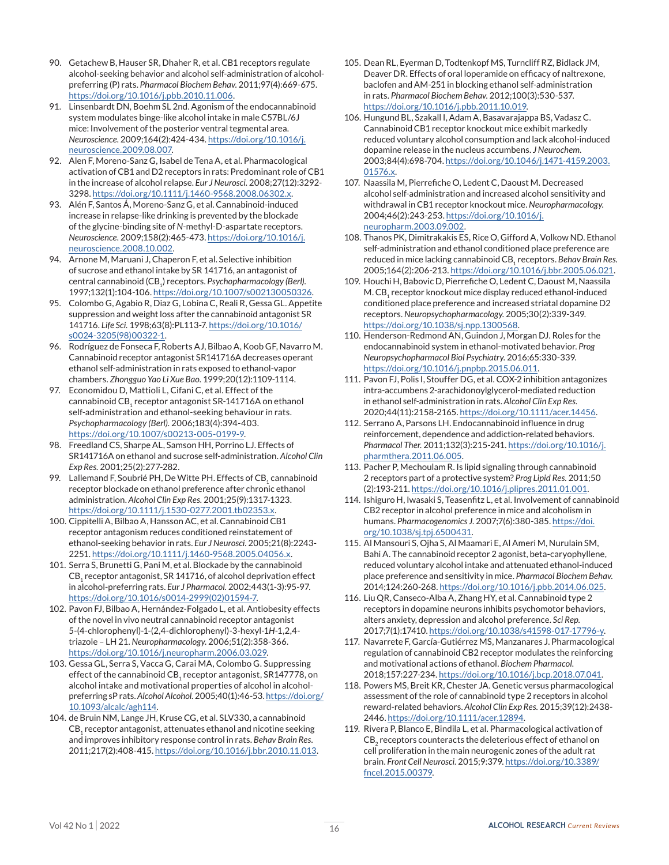- 90. Getachew B, Hauser SR, Dhaher R, et al. CB1 receptors regulate alcohol-seeking behavior and alcohol self-administration of alcoholpreferring (P) rats. *Pharmacol Biochem Behav.* 2011;97(4):669-675. <https://doi.org/10.1016/j.pbb.2010.11.006>.
- 91. Linsenbardt DN, Boehm SL 2nd. Agonism of the endocannabinoid system modulates binge-like alcohol intake in male C57BL/6J mice: Involvement of the posterior ventral tegmental area. *Neuroscience.* 2009;164(2):424-434. [https://doi.org/10.1016/j.](https://doi.org/10.1016/j.neuroscience.2009.08.007) [neuroscience.2009.08.007](https://doi.org/10.1016/j.neuroscience.2009.08.007).
- 92. Alen F, Moreno-Sanz G, Isabel de Tena A, et al. Pharmacological activation of CB1 and D2 receptors in rats: Predominant role of CB1 in the increase of alcohol relapse. *Eur J Neurosci.* 2008;27(12):3292- 3298. <https://doi.org/10.1111/j.1460-9568.2008.06302.x>.
- 93. Alén F, Santos Á, Moreno-Sanz G, et al. Cannabinoid-induced increase in relapse-like drinking is prevented by the blockade of the glycine-binding site of *N*-methyl-D-aspartate receptors. *Neuroscience.* 2009;158(2):465-473. [https://doi.org/10.1016/j.](https://doi.org/10.1016/j.neuroscience.2008.10.002) [neuroscience.2008.10.002](https://doi.org/10.1016/j.neuroscience.2008.10.002).
- 94. Arnone M, Maruani J, Chaperon F, et al. Selective inhibition of sucrose and ethanol intake by SR 141716, an antagonist of central cannabinoid (CB<sub>1</sub>) receptors. *Psychopharmacology (Berl)*. 1997;132(1):104-106. [https://doi.org/10.1007/s002130050326.](https://doi.org/10.1007/s002130050326)
- 95. Colombo G, Agabio R, Diaz G, Lobina C, Reali R, Gessa GL. Appetite suppression and weight loss after the cannabinoid antagonist SR 141716. *Life Sci.* 1998;63(8):PL113-7. [https://doi.org/10.1016/](https://doi.org/10.1016/s0024-3205(98)00322-1) [s0024-3205\(98\)00322-1](https://doi.org/10.1016/s0024-3205(98)00322-1).
- 96. Rodríguez de Fonseca F, Roberts AJ, Bilbao A, Koob GF, Navarro M. Cannabinoid receptor antagonist SR141716A decreases operant ethanol self-administration in rats exposed to ethanol-vapor chambers. *Zhongguo Yao Li Xue Bao.* 1999;20(12):1109-1114.
- 97. Economidou D, Mattioli L, Cifani C, et al. Effect of the cannabinoid CB<sub>1</sub> receptor antagonist SR-141716A on ethanol self-administration and ethanol-seeking behaviour in rats. *Psychopharmacology (Berl).* 2006;183(4):394-403. <https://doi.org/10.1007/s00213-005-0199-9>.
- 98. Freedland CS, Sharpe AL, Samson HH, Porrino LJ. Effects of SR141716A on ethanol and sucrose self-administration. *Alcohol Clin Exp Res.* 2001;25(2):277-282.
- 99. Lallemand F, Soubrié PH, De Witte PH. Effects of CB, cannabinoid receptor blockade on ethanol preference after chronic ethanol administration. *Alcohol Clin Exp Res.* 2001;25(9):1317-1323. <https://doi.org/10.1111/j.1530-0277.2001.tb02353.x>.
- 100. Cippitelli A, Bilbao A, Hansson AC, et al. Cannabinoid CB1 receptor antagonism reduces conditioned reinstatement of ethanol-seeking behavior in rats. *Eur J Neurosci.* 2005;21(8):2243- 2251. <https://doi.org/10.1111/j.1460-9568.2005.04056.x>.
- 101. Serra S, Brunetti G, Pani M, et al. Blockade by the cannabinoid CB<sub>1</sub> receptor antagonist, SR 141716, of alcohol deprivation effect in alcohol-preferring rats. *Eur J Pharmacol.* 2002;443(1-3):95-97. [https://doi.org/10.1016/s0014-2999\(02\)01594-7.](https://doi.org/10.1016/s0014-2999(02)01594-7)
- 102. Pavon FJ, Bilbao A, Hernández-Folgado L, et al. Antiobesity effects of the novel in vivo neutral cannabinoid receptor antagonist 5-(4-chlorophenyl)-1-(2,4-dichlorophenyl)-3-hexyl-1*H*-1,2,4 triazole – LH 21. *Neuropharmacology.* 2006;51(2):358-366. <https://doi.org/10.1016/j.neuropharm.2006.03.029>.
- 103. Gessa GL, Serra S, Vacca G, Carai MA, Colombo G. Suppressing effect of the cannabinoid CB, receptor antagonist, SR147778, on alcohol intake and motivational properties of alcohol in alcoholpreferring sP rats. *Alcohol Alcohol.* 2005;40(1):46-53. [https://doi.org/](https://doi.org/10.1093/alcalc/agh114) [10.1093/alcalc/agh114](https://doi.org/10.1093/alcalc/agh114).
- 104. de Bruin NM, Lange JH, Kruse CG, et al. SLV330, a cannabinoid CB<sub>1</sub> receptor antagonist, attenuates ethanol and nicotine seeking and improves inhibitory response control in rats. *Behav Brain Res.* 2011;217(2):408-415. <https://doi.org/10.1016/j.bbr.2010.11.013>.
- 105. Dean RL, Eyerman D, Todtenkopf MS, Turncliff RZ, Bidlack JM, Deaver DR. Effects of oral loperamide on efficacy of naltrexone, baclofen and AM-251 in blocking ethanol self-administration in rats. *Pharmacol Biochem Behav.* 2012;100(3):530-537. <https://doi.org/10.1016/j.pbb.2011.10.019>.
- 106. Hungund BL, Szakall I, Adam A, Basavarajappa BS, Vadasz C. Cannabinoid CB1 receptor knockout mice exhibit markedly reduced voluntary alcohol consumption and lack alcohol-induced dopamine release in the nucleus accumbens. *J Neurochem.* 2003;84(4):698-704. [https://doi.org/10.1046/j.1471-4159.2003.](https://doi.org/10.1046/j.1471-4159.2003.01576.x) [01576.x.](https://doi.org/10.1046/j.1471-4159.2003.01576.x)
- 107. Naassila M, Pierrefiche O, Ledent C, Daoust M. Decreased alcohol self-administration and increased alcohol sensitivity and withdrawal in CB1 receptor knockout mice. *Neuropharmacology.* 2004;46(2):243-253. [https://doi.org/10.1016/j.](https://doi.org/10.1016/j.neuropharm.2003.09.002) [neuropharm.2003.09.002.](https://doi.org/10.1016/j.neuropharm.2003.09.002)
- 108. Thanos PK, Dimitrakakis ES, Rice O, Gifford A, Volkow ND. Ethanol self-administration and ethanol conditioned place preference are reduced in mice lacking cannabinoid CB<sub>1</sub> receptors. *Behav Brain Res.* 2005;164(2):206-213. <https://doi.org/10.1016/j.bbr.2005.06.021>.
- 109. Houchi H, Babovic D, Pierrefiche O, Ledent C, Daoust M, Naassila M.  $CB_1$  receptor knockout mice display reduced ethanol-induced conditioned place preference and increased striatal dopamine D2 receptors. *Neuropsychopharmacology.* 2005;30(2):339-349. <https://doi.org/10.1038/sj.npp.1300568>.
- 110. Henderson-Redmond AN, Guindon J, Morgan DJ. Roles for the endocannabinoid system in ethanol-motivated behavior. *Prog Neuropsychopharmacol Biol Psychiatry.* 2016;65:330-339. <https://doi.org/10.1016/j.pnpbp.2015.06.011>.
- 111. Pavon FJ, Polis I, Stouffer DG, et al. COX-2 inhibition antagonizes intra-accumbens 2-arachidonoylglycerol-mediated reduction in ethanol self-administration in rats. *Alcohol Clin Exp Res.* 2020;44(11):2158-2165. [https://doi.org/10.1111/acer.14456.](https://doi.org/10.1111/acer.14456)
- 112. Serrano A, Parsons LH. Endocannabinoid influence in drug reinforcement, dependence and addiction-related behaviors. *Pharmacol Ther.* 2011;132(3):215-241. [https://doi.org/10.1016/j.](https://doi.org/10.1016/j.pharmthera.2011.06.005) [pharmthera.2011.06.005.](https://doi.org/10.1016/j.pharmthera.2011.06.005)
- 113. Pacher P, Mechoulam R. Is lipid signaling through cannabinoid 2 receptors part of a protective system? *Prog Lipid Res.* 2011;50 (2):193-211. <https://doi.org/10.1016/j.plipres.2011.01.001>.
- 114. Ishiguro H, Iwasaki S, Teasenfitz L, et al. Involvement of cannabinoid CB2 receptor in alcohol preference in mice and alcoholism in humans. *Pharmacogenomics J.* 2007;7(6):380-385. [https://doi.](https://doi.org/10.1038/sj.tpj.6500431) [org/10.1038/sj.tpj.6500431](https://doi.org/10.1038/sj.tpj.6500431).
- 115. Al Mansouri S, Ojha S, Al Maamari E, Al Ameri M, Nurulain SM, Bahi A. The cannabinoid receptor 2 agonist, beta-caryophyllene, reduced voluntary alcohol intake and attenuated ethanol-induced place preference and sensitivity in mice. *Pharmacol Biochem Behav.* 2014;124:260-268. <https://doi.org/10.1016/j.pbb.2014.06.025>.
- 116. Liu QR, Canseco-Alba A, Zhang HY, et al. Cannabinoid type 2 receptors in dopamine neurons inhibits psychomotor behaviors, alters anxiety, depression and alcohol preference. *Sci Rep.* 2017;7(1):17410. [https://doi.org/10.1038/s41598-017-17796-y.](https://doi.org/10.1038/s41598-017-17796-y)
- 117. Navarrete F, García-Gutiérrez MS, Manzanares J. Pharmacological regulation of cannabinoid CB2 receptor modulates the reinforcing and motivational actions of ethanol. *Biochem Pharmacol.* 2018;157:227-234. <https://doi.org/10.1016/j.bcp.2018.07.041>.
- 118. Powers MS, Breit KR, Chester JA. Genetic versus pharmacological assessment of the role of cannabinoid type 2 receptors in alcohol reward-related behaviors. *Alcohol Clin Exp Res.* 2015;39(12):2438- 2446.<https://doi.org/10.1111/acer.12894>.
- 119. Rivera P, Blanco E, Bindila L, et al. Pharmacological activation of CB<sub>2</sub> receptors counteracts the deleterious effect of ethanol on cell proliferation in the main neurogenic zones of the adult rat brain. *Front Cell Neurosci.* 2015;9:379. [https://doi.org/10.3389/](https://doi.org/10.3389/fncel.2015.00379) [fncel.2015.00379.](https://doi.org/10.3389/fncel.2015.00379)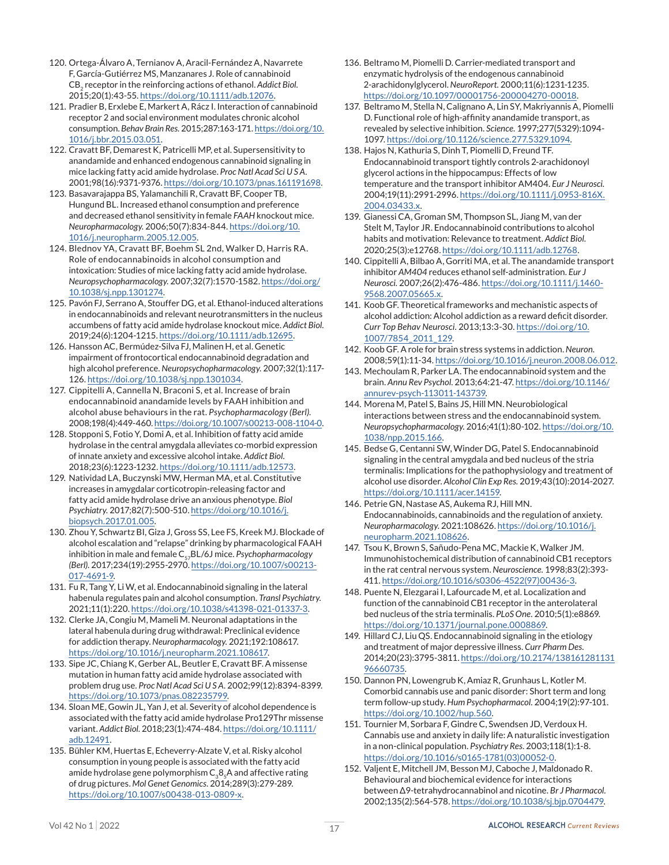- 120. Ortega-Álvaro A, Ternianov A, Aracil-Fernández A, Navarrete F, García-Gutiérrez MS, Manzanares J. Role of cannabinoid CB<sub>2</sub> receptor in the reinforcing actions of ethanol. Addict Biol. 2015;20(1):43-55. [https://doi.org/10.1111/adb.12076.](https://doi.org/10.1111/adb.12076)
- 121. Pradier B, Erxlebe E, Markert A, Rácz I. Interaction of cannabinoid receptor 2 and social environment modulates chronic alcohol consumption. *Behav Brain Res.* 2015;287:163-171. [https://doi.org/10.](https://doi.org/10.1016/j.bbr.2015.03.051) [1016/j.bbr.2015.03.051](https://doi.org/10.1016/j.bbr.2015.03.051).
- 122. Cravatt BF, Demarest K, Patricelli MP, et al. Supersensitivity to anandamide and enhanced endogenous cannabinoid signaling in mice lacking fatty acid amide hydrolase. *Proc Natl Acad Sci U S A.* 2001;98(16):9371-9376. [https://doi.org/10.1073/pnas.161191698.](https://doi.org/10.1073/pnas.161191698)
- 123. Basavarajappa BS, Yalamanchili R, Cravatt BF, Cooper TB, Hungund BL. Increased ethanol consumption and preference and decreased ethanol sensitivity in female *FAAH* knockout mice. *Neuropharmacology.* 2006;50(7):834-844. [https://doi.org/10.](https://doi.org/10.1016/j.neuropharm.2005.12.005) [1016/j.neuropharm.2005.12.005](https://doi.org/10.1016/j.neuropharm.2005.12.005).
- 124. Blednov YA, Cravatt BF, Boehm SL 2nd, Walker D, Harris RA. Role of endocannabinoids in alcohol consumption and intoxication: Studies of mice lacking fatty acid amide hydrolase. *Neuropsychopharmacology.* 2007;32(7):1570-1582. [https://doi.org/](https://doi.org/10.1038/sj.npp.1301274) [10.1038/sj.npp.1301274](https://doi.org/10.1038/sj.npp.1301274).
- 125. Pavón FJ, Serrano A, Stouffer DG, et al. Ethanol-induced alterations in endocannabinoids and relevant neurotransmitters in the nucleus accumbens of fatty acid amide hydrolase knockout mice. *Addict Biol.* 2019;24(6):1204-1215.<https://doi.org/10.1111/adb.12695>.
- 126. Hansson AC, Bermúdez-Silva FJ, Malinen H, et al. Genetic impairment of frontocortical endocannabinoid degradation and high alcohol preference. *Neuropsychopharmacology.* 2007;32(1):117- 126. <https://doi.org/10.1038/sj.npp.1301034>.
- 127. Cippitelli A, Cannella N, Braconi S, et al. Increase of brain endocannabinoid anandamide levels by FAAH inhibition and alcohol abuse behaviours in the rat. *Psychopharmacology (Berl).* 2008;198(4):449-460. [https://doi.org/10.1007/s00213-008-1104-0.](https://doi.org/10.1007/s00213-008-1104-0)
- 128. Stopponi S, Fotio Y, Domi A, et al. Inhibition of fatty acid amide hydrolase in the central amygdala alleviates co-morbid expression of innate anxiety and excessive alcohol intake. *Addict Biol.* 2018;23(6):1223-1232. [https://doi.org/10.1111/adb.12573.](https://doi.org/10.1111/adb.12573)
- 129. Natividad LA, Buczynski MW, Herman MA, et al. Constitutive increases in amygdalar corticotropin-releasing factor and fatty acid amide hydrolase drive an anxious phenotype. *Biol Psychiatry.* 2017;82(7):500-510. [https://doi.org/10.1016/j.](https://doi.org/10.1016/j.biopsych.2017.01.005) [biopsych.2017.01.005](https://doi.org/10.1016/j.biopsych.2017.01.005).
- 130. Zhou Y, Schwartz BI, Giza J, Gross SS, Lee FS, Kreek MJ. Blockade of alcohol escalation and "relapse" drinking by pharmacological FAAH inhibition in male and female C<sub>57</sub>BL/6J mice. *Psychopharmacology (Berl).* 2017;234(19):2955-2970. [https://doi.org/10.1007/s00213-](https://doi.org/10.1007/s00213-017-4691-9) [017-4691-9.](https://doi.org/10.1007/s00213-017-4691-9)
- 131. Fu R, Tang Y, Li W, et al. Endocannabinoid signaling in the lateral habenula regulates pain and alcohol consumption. *Transl Psychiatry.* 2021;11(1):220. [https://doi.org/10.1038/s41398-021-01337-3.](https://doi.org/10.1038/s41398-021-01337-3)
- 132. Clerke JA, Congiu M, Mameli M. Neuronal adaptations in the lateral habenula during drug withdrawal: Preclinical evidence for addiction therapy. *Neuropharmacology.* 2021;192:108617. <https://doi.org/10.1016/j.neuropharm.2021.108617>.
- 133. Sipe JC, Chiang K, Gerber AL, Beutler E, Cravatt BF. A missense mutation in human fatty acid amide hydrolase associated with problem drug use. *Proc Natl Acad Sci U S A.* 2002;99(12):8394-8399. [https://doi.org/10.1073/pnas.082235799.](https://doi.org/10.1073/pnas.082235799)
- 134. Sloan ME, Gowin JL, Yan J, et al. Severity of alcohol dependence is associated with the fatty acid amide hydrolase Pro129Thr missense variant. *Addict Biol.* 2018;23(1):474-484. [https://doi.org/10.1111/](https://doi.org/10.1111/adb.12491) [adb.12491](https://doi.org/10.1111/adb.12491).
- 135. Bühler KM, Huertas E, Echeverry-Alzate V, et al. Risky alcohol consumption in young people is associated with the fatty acid amide hydrolase gene polymorphism  $C_38_cA$  and affective rating of drug pictures. *Mol Genet Genomics.* 2014;289(3):279-289. <https://doi.org/10.1007/s00438-013-0809-x>.
- 136. Beltramo M, Piomelli D. Carrier-mediated transport and enzymatic hydrolysis of the endogenous cannabinoid 2-arachidonylglycerol. *NeuroReport.* 2000;11(6):1231-1235. <https://doi.org/10.1097/00001756-200004270-00018>.
- 137. Beltramo M, Stella N, Calignano A, Lin SY, Makriyannis A, Piomelli D. Functional role of high-affinity anandamide transport, as revealed by selective inhibition. *Science.* 1997;277(5329):1094- 1097.<https://doi.org/10.1126/science.277.5329.1094>.
- 138. Hajos N, Kathuria S, Dinh T, Piomelli D, Freund TF. Endocannabinoid transport tightly controls 2-arachidonoyl glycerol actions in the hippocampus: Effects of low temperature and the transport inhibitor AM404. *Eur J Neurosci.* 2004;19(11):2991-2996. [https://doi.org/10.1111/j.0953-816X.](https://doi.org/10.1111/j.0953-816X.2004.03433.x) [2004.03433.x.](https://doi.org/10.1111/j.0953-816X.2004.03433.x)
- 139. Gianessi CA, Groman SM, Thompson SL, Jiang M, van der Stelt M, Taylor JR. Endocannabinoid contributions to alcohol habits and motivation: Relevance to treatment. *Addict Biol.* 2020;25(3):e12768. [https://doi.org/10.1111/adb.12768.](https://doi.org/10.1111/adb.12768)
- 140. Cippitelli A, Bilbao A, Gorriti MA, et al. The anandamide transport inhibitor *AM404* reduces ethanol self-administration. *Eur J Neurosci.* 2007;26(2):476-486. [https://doi.org/10.1111/j.1460-](https://doi.org/10.1111/j.1460-9568.2007.05665.x) [9568.2007.05665.x.](https://doi.org/10.1111/j.1460-9568.2007.05665.x)
- 141. Koob GF. Theoretical frameworks and mechanistic aspects of alcohol addiction: Alcohol addiction as a reward deficit disorder. *Curr Top Behav Neurosci.* 2013;13:3-30. [https://doi.org/10.](https://doi.org/10.1007/7854_2011_129) [1007/7854\\_2011\\_129](https://doi.org/10.1007/7854_2011_129).
- 142. Koob GF. A role for brain stress systems in addiction. *Neuron.*  2008;59(1):11-34. <https://doi.org/10.1016/j.neuron.2008.06.012>.
- 143. Mechoulam R, Parker LA. The endocannabinoid system and the brain. *Annu Rev Psychol.* 2013;64:21-47. [https://doi.org/10.1146/](https://doi.org/10.1146/annurev-psych-113011-143739) [annurev-psych-113011-143739](https://doi.org/10.1146/annurev-psych-113011-143739).
- 144. Morena M, Patel S, Bains JS, Hill MN. Neurobiological interactions between stress and the endocannabinoid system. *Neuropsychopharmacology.* 2016;41(1):80-102. [https://doi.org/10.](https://doi.org/10.1038/npp.2015.166) [1038/npp.2015.166.](https://doi.org/10.1038/npp.2015.166)
- 145. Bedse G, Centanni SW, Winder DG, Patel S. Endocannabinoid signaling in the central amygdala and bed nucleus of the stria terminalis: Implications for the pathophysiology and treatment of alcohol use disorder. *Alcohol Clin Exp Res.* 2019;43(10):2014-2027. <https://doi.org/10.1111/acer.14159>.
- 146. Petrie GN, Nastase AS, Aukema RJ, Hill MN. Endocannabinoids, cannabinoids and the regulation of anxiety. *Neuropharmacology.* 2021:108626. [https://doi.org/10.1016/j.](https://doi.org/10.1016/j.neuropharm.2021.108626) [neuropharm.2021.108626.](https://doi.org/10.1016/j.neuropharm.2021.108626)
- 147. Tsou K, Brown S, Sañudo-Pena MC, Mackie K, Walker JM. Immunohistochemical distribution of cannabinoid CB1 receptors in the rat central nervous system. *Neuroscience.* 1998;83(2):393- 411. [https://doi.org/10.1016/s0306-4522\(97\)00436-3](https://doi.org/10.1016/s0306-4522(97)00436-3).
- 148. Puente N, Elezgarai I, Lafourcade M, et al. Localization and function of the cannabinoid CB1 receptor in the anterolateral bed nucleus of the stria terminalis. *PLoS One.* 2010;5(1):e8869. <https://doi.org/10.1371/journal.pone.0008869>.
- 149. Hillard CJ, Liu QS. Endocannabinoid signaling in the etiology and treatment of major depressive illness. *Curr Pharm Des.* 2014;20(23):3795-3811. [https://doi.org/10.2174/138161281131](https://doi.org/10.2174/13816128113196660735) [96660735.](https://doi.org/10.2174/13816128113196660735)
- 150. Dannon PN, Lowengrub K, Amiaz R, Grunhaus L, Kotler M. Comorbid cannabis use and panic disorder: Short term and long term follow-up study. *Hum Psychopharmacol.* 2004;19(2):97-101. <https://doi.org/10.1002/hup.560>.
- 151. Tournier M, Sorbara F, Gindre C, Swendsen JD, Verdoux H. Cannabis use and anxiety in daily life: A naturalistic investigation in a non-clinical population. *Psychiatry Res.* 2003;118(1):1-8. [https://doi.org/10.1016/s0165-1781\(03\)00052-0.](https://doi.org/10.1016/s0165-1781(03)00052-0)
- 152. Valjent E, Mitchell JM, Besson MJ, Caboche J, Maldonado R. Behavioural and biochemical evidence for interactions between Δ9-tetrahydrocannabinol and nicotine. *Br J Pharmacol.* 2002;135(2):564-578. <https://doi.org/10.1038/sj.bjp.0704479>.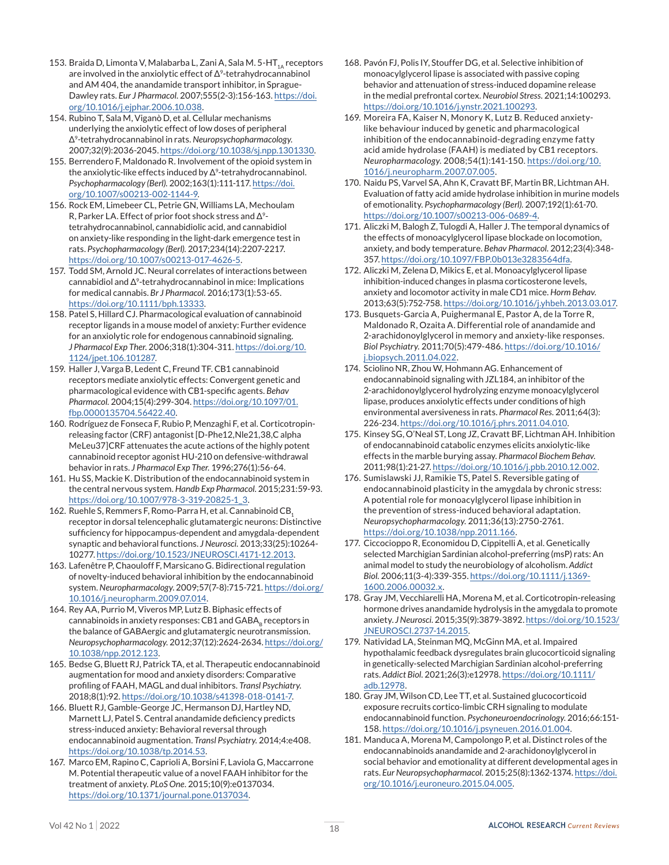- 153. Braida D, Limonta V, Malabarba L, Zani A, Sala M. 5-HT $_{14}$  receptors are involved in the anxiolytic effect of  $\Delta^9$ -tetrahydrocannabinol and AM 404, the anandamide transport inhibitor, in Sprague-Dawley rats. *Eur J Pharmacol.* 2007;555(2-3):156-163. [https://doi.](https://doi.org/10.1016/j.ejphar.2006.10.038) [org/10.1016/j.ejphar.2006.10.038](https://doi.org/10.1016/j.ejphar.2006.10.038).
- 154. Rubino T, Sala M, Viganò D, et al. Cellular mechanisms underlying the anxiolytic effect of low doses of peripheral Δ9-tetrahydrocannabinol in rats. *Neuropsychopharmacology.*  2007;32(9):2036-2045. <https://doi.org/10.1038/sj.npp.1301330>.
- 155. Berrendero F, Maldonado R. Involvement of the opioid system in the anxiolytic-like effects induced by Δ<sup>9</sup>-tetrahydrocannabinol. *Psychopharmacology (Berl).* 2002;163(1):111-117. [https://doi.](https://doi.org/10.1007/s00213-002-1144-9) [org/10.1007/s00213-002-1144-9.](https://doi.org/10.1007/s00213-002-1144-9)
- 156. Rock EM, Limebeer CL, Petrie GN, Williams LA, Mechoulam R, Parker LA. Effect of prior foot shock stress and Δ9 tetrahydrocannabinol, cannabidiolic acid, and cannabidiol on anxiety-like responding in the light-dark emergence test in rats. *Psychopharmacology (Berl).* 2017;234(14):2207-2217. <https://doi.org/10.1007/s00213-017-4626-5>.
- 157. Todd SM, Arnold JC. Neural correlates of interactions between cannabidiol and Δ9-tetrahydrocannabinol in mice: Implications for medical cannabis. *Br J Pharmacol.* 2016;173(1):53-65. [https://doi.org/10.1111/bph.13333.](https://doi.org/10.1111/bph.13333)
- 158. Patel S, Hillard CJ. Pharmacological evaluation of cannabinoid receptor ligands in a mouse model of anxiety: Further evidence for an anxiolytic role for endogenous cannabinoid signaling. *J Pharmacol Exp Ther.* 2006;318(1):304-311. [https://doi.org/10.](https://doi.org/10.1124/jpet.106.101287) [1124/jpet.106.101287](https://doi.org/10.1124/jpet.106.101287).
- 159. Haller J, Varga B, Ledent C, Freund TF. CB1 cannabinoid receptors mediate anxiolytic effects: Convergent genetic and pharmacological evidence with CB1-specific agents. *Behav Pharmacol.* 2004;15(4):299-304. [https://doi.org/10.1097/01.](https://doi.org/10.1097/01.fbp.0000135704.56422.40) [fbp.0000135704.56422.40.](https://doi.org/10.1097/01.fbp.0000135704.56422.40)
- 160. Rodríguez de Fonseca F, Rubio P, Menzaghi F, et al. Corticotropinreleasing factor (CRF) antagonist [D-Phe12,Nle21,38,C alpha MeLeu37]CRF attenuates the acute actions of the highly potent cannabinoid receptor agonist HU-210 on defensive-withdrawal behavior in rats. *J Pharmacol Exp Ther.* 1996;276(1):56-64.
- 161. Hu SS, Mackie K. Distribution of the endocannabinoid system in the central nervous system. *Handb Exp Pharmacol.* 2015;231:59-93. [https://doi.org/10.1007/978-3-319-20825-1\\_3.](https://doi.org/10.1007/978-3-319-20825-1_3)
- 162. Ruehle S, Remmers F, Romo-Parra H, et al. Cannabinoid CB, receptor in dorsal telencephalic glutamatergic neurons: Distinctive sufficiency for hippocampus-dependent and amygdala-dependent synaptic and behavioral functions. *J Neurosci.* 2013;33(25):10264- 10277. <https://doi.org/10.1523/JNEUROSCI.4171-12.2013>.
- 163. Lafenêtre P, Chaouloff F, Marsicano G. Bidirectional regulation of novelty-induced behavioral inhibition by the endocannabinoid system. *Neuropharmacology*. 2009;57(7-8):715-721. [https://doi.org/](https://doi.org/10.1016/j.neuropharm.2009.07.014) [10.1016/j.neuropharm.2009.07.014](https://doi.org/10.1016/j.neuropharm.2009.07.014).
- 164. Rey AA, Purrio M, Viveros MP, Lutz B. Biphasic effects of cannabinoids in anxiety responses: CB1 and GABA, receptors in the balance of GABAergic and glutamatergic neurotransmission. *Neuropsychopharmacology.* 2012;37(12):2624-2634. [https://doi.org/](https://doi.org/10.1038/npp.2012.123) [10.1038/npp.2012.123.](https://doi.org/10.1038/npp.2012.123)
- 165. Bedse G, Bluett RJ, Patrick TA, et al. Therapeutic endocannabinoid augmentation for mood and anxiety disorders: Comparative profiling of FAAH, MAGL and dual inhibitors. *Transl Psychiatry.* 2018;8(1):92. <https://doi.org/10.1038/s41398-018-0141-7>.
- 166. Bluett RJ, Gamble-George JC, Hermanson DJ, Hartley ND, Marnett LJ, Patel S. Central anandamide deficiency predicts stress-induced anxiety: Behavioral reversal through endocannabinoid augmentation. *Transl Psychiatry.* 2014;4:e408. <https://doi.org/10.1038/tp.2014.53>.
- 167. Marco EM, Rapino C, Caprioli A, Borsini F, Laviola G, Maccarrone M. Potential therapeutic value of a novel FAAH inhibitor for the treatment of anxiety. *PLoS One.* 2015;10(9):e0137034. <https://doi.org/10.1371/journal.pone.0137034>.
- 168. Pavón FJ, Polis IY, Stouffer DG, et al. Selective inhibition of monoacylglycerol lipase is associated with passive coping behavior and attenuation of stress-induced dopamine release in the medial prefrontal cortex. *Neurobiol Stress.* 2021;14:100293. <https://doi.org/10.1016/j.ynstr.2021.100293>.
- 169. Moreira FA, Kaiser N, Monory K, Lutz B. Reduced anxietylike behaviour induced by genetic and pharmacological inhibition of the endocannabinoid-degrading enzyme fatty acid amide hydrolase (FAAH) is mediated by CB1 receptors. *Neuropharmacology.* 2008;54(1):141-150. [https://doi.org/10.](https://doi.org/10.1016/j.neuropharm.2007.07.005) [1016/j.neuropharm.2007.07.005](https://doi.org/10.1016/j.neuropharm.2007.07.005).
- 170. Naidu PS, Varvel SA, Ahn K, Cravatt BF, Martin BR, Lichtman AH. Evaluation of fatty acid amide hydrolase inhibition in murine models of emotionality. *Psychopharmacology (Berl).* 2007;192(1):61-70. <https://doi.org/10.1007/s00213-006-0689-4>.
- 171. Aliczki M, Balogh Z, Tulogdi A, Haller J. The temporal dynamics of the effects of monoacylglycerol lipase blockade on locomotion, anxiety, and body temperature. *Behav Pharmacol.* 2012;23(4):348- 357.<https://doi.org/10.1097/FBP.0b013e3283564dfa>.
- 172. Aliczki M, Zelena D, Mikics E, et al. Monoacylglycerol lipase inhibition-induced changes in plasma corticosterone levels, anxiety and locomotor activity in male CD1 mice. *Horm Behav.* 2013;63(5):752-758. <https://doi.org/10.1016/j.yhbeh.2013.03.017>.
- 173. Busquets-Garcia A, Puighermanal E, Pastor A, de la Torre R, Maldonado R, Ozaita A. Differential role of anandamide and 2-arachidonoylglycerol in memory and anxiety-like responses. *Biol Psychiatry.* 2011;70(5):479-486. [https://doi.org/10.1016/](https://doi.org/10.1016/j.biopsych.2011.04.022) [j.biopsych.2011.04.022](https://doi.org/10.1016/j.biopsych.2011.04.022).
- 174. Sciolino NR, Zhou W, Hohmann AG. Enhancement of endocannabinoid signaling with JZL184, an inhibitor of the 2-arachidonoylglycerol hydrolyzing enzyme monoacylglycerol lipase, produces anxiolytic effects under conditions of high environmental aversiveness in rats. *Pharmacol Res.* 2011;64(3): 226-234. <https://doi.org/10.1016/j.phrs.2011.04.010>.
- 175. Kinsey SG, O'Neal ST, Long JZ, Cravatt BF, Lichtman AH. Inhibition of endocannabinoid catabolic enzymes elicits anxiolytic-like effects in the marble burying assay. *Pharmacol Biochem Behav.* 2011;98(1):21-27. <https://doi.org/10.1016/j.pbb.2010.12.002>.
- 176. Sumislawski JJ, Ramikie TS, Patel S. Reversible gating of endocannabinoid plasticity in the amygdala by chronic stress: A potential role for monoacylglycerol lipase inhibition in the prevention of stress-induced behavioral adaptation. *Neuropsychopharmacology.* 2011;36(13):2750-2761. [https://doi.org/10.1038/npp.2011.166.](https://doi.org/10.1038/npp.2011.166)
- 177. Ciccocioppo R, Economidou D, Cippitelli A, et al. Genetically selected Marchigian Sardinian alcohol-preferring (msP) rats: An animal model to study the neurobiology of alcoholism. *Addict Biol.* 2006;11(3-4):339-355. [https://doi.org/10.1111/j.1369-](https://doi.org/10.1111/j.1369-1600.2006.00032.x) [1600.2006.00032.x](https://doi.org/10.1111/j.1369-1600.2006.00032.x).
- 178. Gray JM, Vecchiarelli HA, Morena M, et al. Corticotropin-releasing hormone drives anandamide hydrolysis in the amygdala to promote anxiety. *J Neurosci.* 2015;35(9):3879-3892. [https://doi.org/10.1523/](https://doi.org/10.1523/JNEUROSCI.2737-14.2015) [JNEUROSCI.2737-14.2015](https://doi.org/10.1523/JNEUROSCI.2737-14.2015).
- 179. Natividad LA, Steinman MQ, McGinn MA, et al. Impaired hypothalamic feedback dysregulates brain glucocorticoid signaling in genetically-selected Marchigian Sardinian alcohol-preferring rats. *Addict Biol.* 2021;26(3):e12978. [https://doi.org/10.1111/](https://doi.org/10.1111/adb.12978) [adb.12978.](https://doi.org/10.1111/adb.12978)
- 180. Gray JM, Wilson CD, Lee TT, et al. Sustained glucocorticoid exposure recruits cortico-limbic CRH signaling to modulate endocannabinoid function. *Psychoneuroendocrinology.* 2016;66:151- 158. <https://doi.org/10.1016/j.psyneuen.2016.01.004>.
- 181. Manduca A, Morena M, Campolongo P, et al. Distinct roles of the endocannabinoids anandamide and 2-arachidonoylglycerol in social behavior and emotionality at different developmental ages in rats. *Eur Neuropsychopharmacol.* 2015;25(8):1362-1374. [https://doi.](https://doi.org/10.1016/j.euroneuro.2015.04.005) [org/10.1016/j.euroneuro.2015.04.005](https://doi.org/10.1016/j.euroneuro.2015.04.005).